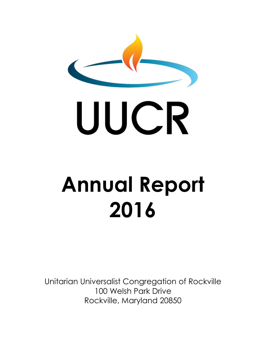

# **Annual Report 2016**

Unitarian Universalist Congregation of Rockville 100 Welsh Park Drive Rockville, Maryland 20850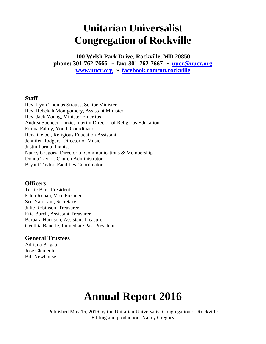# **Unitarian Universalist Congregation of Rockville**

**100 Welsh Park Drive, Rockville, MD 20850 phone: 301-762-7666 ~ fax: 301-762-7667 ~ [uucr@uucr.org](mailto:uucr@uucr.org) [www.uucr.org](http://www.uucr.org/) ~ <facebook.com/uu.rockville>**

#### **Staff**

Rev. Lynn Thomas Strauss, Senior Minister Rev. Rebekah Montgomery, Assistant Minister Rev. Jack Young, Minister Emeritus Andrea Spencer-Linzie, Interim Director of Religious Education Emma Falley, Youth Coordinator Rena Geibel, Religious Education Assistant Jennifer Rodgers, Director of Music Justin Furnia, Pianist Nancy Gregory, Director of Communications & Membership Donna Taylor, Church Administrator Bryant Taylor, Facilities Coordinator

#### **Officers**

Terrie Barr, President Ellen Rohan, Vice President See-Yan Lam, Secretary Julie Robinson, Treasurer Eric Burch, Assistant Treasurer Barbara Harrison, Assistant Treasurer Cynthia Bauerle, Immediate Past President

#### **General Trustees**

Adriana Brigatti José Clemente Bill Newhouse

# **Annual Report 2016**

Published May 15, 2016 by the Unitarian Universalist Congregation of Rockville Editing and production: Nancy Gregory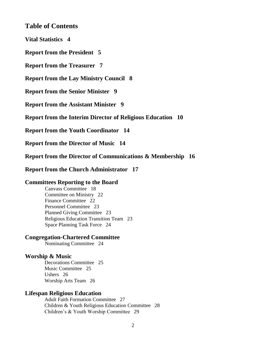#### **Table of Contents**

**Vital Statistics 4** 

**Report from the President 5** 

**Report from the Treasurer 7** 

**Report from the Lay Ministry Council 8** 

**Report from the Senior Minister 9** 

**Report from the Assistant Minister 9** 

**Report from the Interim Director of Religious Education 10** 

**Report from the Youth Coordinator 14** 

**Report from the Director of Music 14** 

**Report from the Director of Communications & Membership 16** 

**Report from the Church Administrator 17** 

#### **Committees Reporting to the Board**

Canvass Committee 18 Committee on Ministry 22 Finance Committee 22 Personnel Committee 23 Planned Giving Committee 23 Religious Education Transition Team 23 Space Planning Task Force 24

#### **Congregation-Chartered Committee**

Nominating Committee 24

#### **Worship & Music**

Decorations Committee 25 Music Committee 25 Ushers 26 Worship Arts Team 26

#### **Lifespan Religious Education**

Adult Faith Formation Committee 27 Children & Youth Religious Education Committee 28 Children's & Youth Worship Committee 29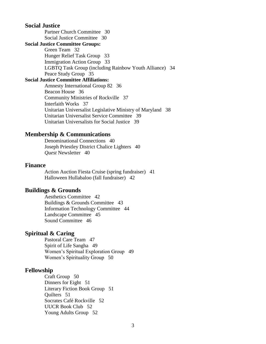#### **Social Justice**

Partner Church Committee 30 Social Justice Committee 30

#### **Social Justice Committee Groups:**

Green Team 32 Hunger Relief Task Group 33 Immigration Action Group 33 LGBTQ Task Group (including Rainbow Youth Alliance) 34 Peace Study Group 35

#### **Social Justice Committee Affiliations:**

Amnesty International Group 82 36 Beacon House 36 Community Ministries of Rockville 37 Interfaith Works 37 Unitarian Universalist Legislative Ministry of Maryland 38 Unitarian Universalist Service Committee 39 Unitarian Universalists for Social Justice 39

#### **Membership & Communications**

Denominational Connections 40 Joseph Priestley District Chalice Lighters 40 *Quest* Newsletter 40

#### **Finance**

Action Auction Fiesta Cruise (spring fundraiser) 41 Halloween Hullabaloo (fall fundraiser) 42

#### **Buildings & Grounds**

Aesthetics Committee 42 Buildings & Grounds Committee 43 Information Technology Committee 44 Landscape Committee 45 Sound Committee 46

#### **Spiritual & Caring**

Pastoral Care Team 47 Spirit of Life Sangha 49 Women's Spiritual Exploration Group 49 Women's Spirituality Group 50

#### **Fellowship**

Craft Group 50 Dinners for Eight 51 Literary Fiction Book Group 51 Quilters 51 Socrates Café Rockville 52 UUCR Book Club 52 Young Adults Group 52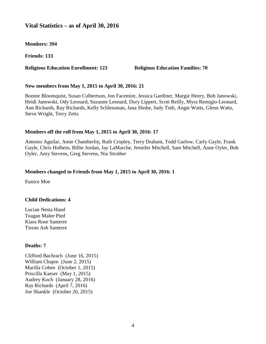#### **Vital Statistics – as of April 30, 2016**

**Members: 394**

**Friends: 133**

#### **Religious Education Enrollment: 123 Religious Education Families: 70**

#### **New members from May 1, 2015 to April 30, 2016: 21**

Bonnie Bloomquist, Susan Culbertson, Jon Facemire, Jessica Gardiner, Margie Henry, Bob Janowski, Heidi Janowski, Ody Leonard, Suzanne Leonard, Dory Lippert, Scott Reilly, Myra Remigio-Leonard, Ann Richards, Ray Richards, Kelly Schlessman, Jana Shobe, Judy Toth, Angie Watts, Glenn Watts, Steve Wright, Terry Zetts

#### **Members off the roll from May 1, 2015 to April 30, 2016: 17**

Antonio Aguilar, Amie Chamberlin, Ruth Cropley, Terry Drabant, Todd Garlow, Carly Gayle, Frank Gayle, Chris Holbein, Billie Jordan, Jay LaMarche, Jennifer Mitchell, Sam Mitchell, Anne Oyler, Bob Oyler, Amy Stevens, Greg Stevens, Nia Strother

#### **Members changed to Friends from May 1, 2015 to April 30, 2016: 1**

Eunice Moe

#### **Child Dedications: 4**

Lucian Nesta Hand Teagan Malee Pied Kiara Rose Santerre Tieran Ash Santerre

#### **Deaths: 7**

Clifford Bachrach (June 16, 2015) William Chapin (June 2, 2015) Marilla Cohen (October 1, 2015) Priscilla Kaeser (May 1, 2015) Audrey Koch (January 28, 2016) Ray Richards (April 7, 2016) Joe Shankle (October 20, 2015)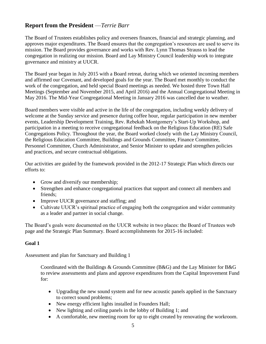#### **Report from the President** —*Terrie Barr*

The Board of Trustees establishes policy and oversees finances, financial and strategic planning, and approves major expenditures. The Board ensures that the congregation's resources are used to serve its mission. The Board provides governance and works with Rev. Lynn Thomas Strauss to lead the congregation in realizing our mission. Board and Lay Ministry Council leadership work to integrate governance and ministry at UUCR.

The Board year began in July 2015 with a Board retreat, during which we oriented incoming members and affirmed our Covenant, and developed goals for the year. The Board met monthly to conduct the work of the congregation, and held special Board meetings as needed. We hosted three Town Hall Meetings (September and November 2015, and April 2016) and the Annual Congregational Meeting in May 2016. The Mid-Year Congregational Meeting in January 2016 was cancelled due to weather.

Board members were visible and active in the life of the congregation, including weekly delivery of welcome at the Sunday service and presence during coffee hour, regular participation in new member events, Leadership Development Training, Rev. Rebekah Montgomery's Start-Up Workshop, and participation in a meeting to receive congregational feedback on the Religious Education (RE) Safe Congregations Policy. Throughout the year, the Board worked closely with the Lay Ministry Council, the Religious Education Committee, Buildings and Grounds Committee, Finance Committee, Personnel Committee, Church Administrator, and Senior Minister to update and strengthen policies and practices, and secure contractual obligations.

Our activities are guided by the framework provided in the 2012-17 Strategic Plan which directs our efforts to:

- Grow and diversify our membership;
- Strengthen and enhance congregational practices that support and connect all members and friends;
- Improve UUCR governance and staffing; and
- Cultivate UUCR's spiritual practice of engaging both the congregation and wider community as a leader and partner in social change.

The Board's goals were documented on the UUCR website in two places: the Board of Trustees web page and the Strategic Plan Summary. Board accomplishments for 2015-16 included:

#### **Goal 1**

Assessment and plan for Sanctuary and Building 1

Coordinated with the Buildings & Grounds Committee (B&G) and the Lay Minister for B&G to review assessments and plans and approve expenditures from the Capital Improvement Fund for:

- Upgrading the new sound system and for new acoustic panels applied in the Sanctuary to correct sound problems;
- New energy efficient lights installed in Founders Hall;
- New lighting and ceiling panels in the lobby of Building 1; and
- A comfortable, new meeting room for up to eight created by renovating the workroom.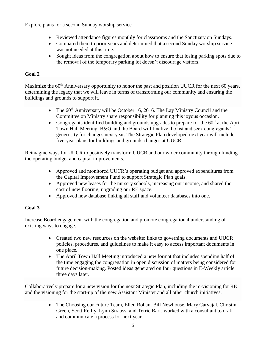Explore plans for a second Sunday worship service

- Reviewed attendance figures monthly for classrooms and the Sanctuary on Sundays.
- Compared them to prior years and determined that a second Sunday worship service was not needed at this time.
- Sought ideas from the congregation about how to ensure that losing parking spots due to the removal of the temporary parking lot doesn't discourage visitors.

#### **Goal 2**

Maximize the 60<sup>th</sup> Anniversary opportunity to honor the past and position UUCR for the next 60 years, determining the legacy that we will leave in terms of transforming our community and ensuring the buildings and grounds to support it.

- The  $60<sup>th</sup>$  Anniversary will be October 16, 2016. The Lay Ministry Council and the Committee on Ministry share responsibility for planning this joyous occasion.
- Congregants identified building and grounds upgrades to prepare for the  $60<sup>th</sup>$  at the April Town Hall Meeting. B&G and the Board will finalize the list and seek congregants' generosity for changes next year. The Strategic Plan developed next year will include five-year plans for buildings and grounds changes at UUCR.

Reimagine ways for UUCR to positively transform UUCR and our wider community through funding the operating budget and capital improvements.

- Approved and monitored UUCR's operating budget and approved expenditures from the Capital Improvement Fund to support Strategic Plan goals.
- Approved new leases for the nursery schools, increasing our income, and shared the cost of new flooring, upgrading our RE space.
- Approved new database linking all staff and volunteer databases into one.

#### **Goal 3**

Increase Board engagement with the congregation and promote congregational understanding of existing ways to engage.

- Created two new resources on the website: links to governing documents and UUCR policies, procedures, and guidelines to make it easy to access important documents in one place.
- The April Town Hall Meeting introduced a new format that includes spending half of the time engaging the congregation in open discussion of matters being considered for future decision-making. Posted ideas generated on four questions in E-Weekly article three days later.

Collaboratively prepare for a new vision for the next Strategic Plan, including the re-visioning for RE and the visioning for the start-up of the new Assistant Minister and all other church initiatives.

> • The Choosing our Future Team, Ellen Rohan, Bill Newhouse, Mary Carvajal, Christin Green, Scott Reilly, Lynn Strauss, and Terrie Barr, worked with a consultant to draft and communicate a process for next year.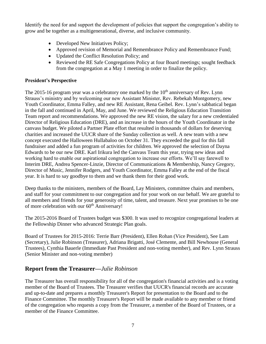Identify the need for and support the development of policies that support the congregation's ability to grow and be together as a multigenerational, diverse, and inclusive community.

- Developed New Initiatives Policy;
- Approved revision of Memorial and Remembrance Policy and Remembrance Fund;
- Updated the Conflict Resolution Policy; and
- Reviewed the RE Safe Congregations Policy at four Board meetings; sought feedback from the congregation at a May 1 meeting in order to finalize the policy.

#### **President's Perspective**

The 2015-16 program year was a celebratory one marked by the  $10<sup>th</sup>$  anniversary of Rev. Lynn Strauss's ministry and by welcoming our new Assistant Minister, Rev. Rebekah Montgomery, new Youth Coordinator, Emma Falley, and new RE Assistant, Rena Geibel. Rev. Lynn's sabbatical began in the fall and continued in April, May, and June. We reviewed the Religious Education Transition Team report and recommendations. We approved the new RE vision, the salary for a new credentialed Director of Religious Education (DRE), and an increase in the hours of the Youth Coordinator in the canvass budget. We piloted a Partner Plate effort that resulted in thousands of dollars for deserving charities and increased the UUCR share of the Sunday collection as well. A new team with a new concept executed the Halloween Hullabaloo on October 31. They exceeded the goal for this fall fundraiser and added a fun program of activities for children. We approved the selection of Dayna Edwards to be our new DRE. Karl Irikura led the Canvass Team this year, trying new ideas and working hard to enable our aspirational congregation to increase our efforts. We'll say farewell to Interim DRE, Andrea Spencer-Linzie, Director of Communications & Membership, Nancy Gregory, Director of Music, Jennifer Rodgers, and Youth Coordinator, Emma Falley at the end of the fiscal year. It is hard to say goodbye to them and we thank them for their good work.

Deep thanks to the ministers, members of the Board, Lay Ministers, committee chairs and members, and staff for your commitment to our congregation and for your work on our behalf. We are grateful to all members and friends for your generosity of time, talent, and treasure. Next year promises to be one of more celebration with our 60<sup>th</sup> Anniversary!

The 2015-2016 Board of Trustees budget was \$300. It was used to recognize congregational leaders at the Fellowship Dinner who advanced Strategic Plan goals.

Board of Trustees for 2015-2016: Terrie Barr (President), Ellen Rohan (Vice President), See Lam (Secretary), Julie Robinson (Treasurer), Adriana Brigatti, José Clemente, and Bill Newhouse (General Trustees), Cynthia Bauerle (Immediate Past President and non-voting member), and Rev. Lynn Strauss (Senior Minister and non-voting member)

#### **Report from the Treasurer—***Julie Robinson*

The Treasurer has overall responsibility for all of the congregation's financial activities and is a voting member of the Board of Trustees. The Treasurer verifies that UUCR's financial records are accurate and up-to-date and prepares a monthly Treasurer's Report for presentation to the Board and to the Finance Committee. The monthly Treasurer's Report will be made available to any member or friend of the congregation who requests a copy from the Treasurer, a member of the Board of Trustees, or a member of the Finance Committee.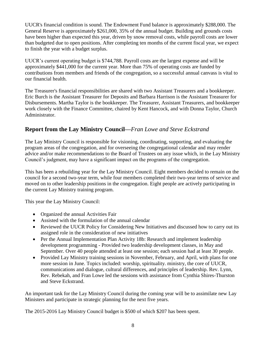UUCR's financial condition is sound. The Endowment Fund balance is approximately \$288,000. The General Reserve is approximately \$261,000, 35% of the annual budget. Building and grounds costs have been higher than expected this year, driven by snow removal costs, while payroll costs are lower than budgeted due to open positions. After completing ten months of the current fiscal year, we expect to finish the year with a budget surplus.

UUCR's current operating budget is \$744,788. Payroll costs are the largest expense and will be approximately \$441,000 for the current year. More than 75% of operating costs are funded by contributions from members and friends of the congregation, so a successful annual canvass is vital to our financial health.

The Treasurer's financial responsibilities are shared with two Assistant Treasurers and a bookkeeper. Eric Burch is the Assistant Treasurer for Deposits and Barbara Harrison is the Assistant Treasurer for Disbursements. Martha Taylor is the bookkeeper. The Treasurer, Assistant Treasurers, and bookkeeper work closely with the Finance Committee, chaired by Kent Hancock, and with Donna Taylor, Church Administrator.

#### **Report from the Lay Ministry Council—***Fran Lowe and Steve Eckstrand*

The Lay Ministry Council is responsible for visioning, coordinating, supporting, and evaluating the program areas of the congregation, and for overseeing the congregational calendar and may render advice and/or make recommendations to the Board of Trustees on any issue which, in the Lay Ministry Council's judgment, may have a significant impact on the programs of the congregation.

This has been a rebuilding year for the Lay Ministry Council. Eight members decided to remain on the council for a second two-year term, while four members completed their two-year terms of service and moved on to other leadership positions in the congregation. Eight people are actively participating in the current Lay Ministry training program.

This year the Lay Ministry Council:

- Organized the annual Activities Fair
- Assisted with the formulation of the annual calendar
- Reviewed the UUCR Policy for Considering New Initiatives and discussed how to carry out its assigned role in the consideration of new initiatives
- Per the Annual Implementation Plan Activity 18b: Research and implement leadership development programming - Provided two leadership development classes, in May and September. Over 40 people attended at least one session; each session had at least 30 people.
- Provided Lay Ministry training sessions in November, February, and April, with plans for one more session in June. Topics included: worship, spirituality. ministry, the core of UUCR, communications and dialogue, cultural differences, and principles of leadership. Rev. Lynn, Rev. Rebekah, and Fran Lowe led the sessions with assistance from Cynthia Shires-Thurston and Steve Eckstrand.

An important task for the Lay Ministry Council during the coming year will be to assimilate new Lay Ministers and participate in strategic planning for the next five years.

The 2015-2016 Lay Ministry Council budget is \$500 of which \$207 has been spent.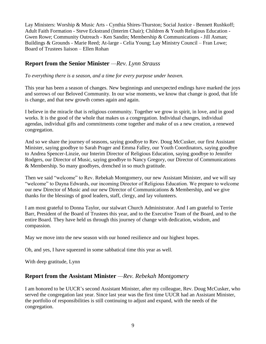Lay Ministers: Worship & Music Arts - Cynthia Shires-Thurston; Social Justice - Bennett Rushkoff; Adult Faith Formation - Steve Eckstrand (Interim Chair); Children & Youth Religious Education - Gwen Rowe; Community Outreach - Ken Sandin; Membership & Communications - Jill Asman; Buildings & Grounds - Marie Reed; At-large - Celia Young; Lay Ministry Council – Fran Lowe; Board of Trustees liaison – Ellen Rohan

#### **Report from the Senior Minister** *—Rev. Lynn Strauss*

*To everything there is a season, and a time for every purpose under heaven.*

This year has been a season of changes. New beginnings and unexpected endings have marked the joys and sorrows of our Beloved Community. In our wise moments, we know that change is good, that life is change, and that new growth comes again and again.

I believe in the miracle that is religious community. Together we grow in spirit, in love, and in good works. It is the good of the whole that makes us a congregation. Individual changes, individual agendas, individual gifts and commitments come together and make of us a new creation, a renewed congregation.

And so we share the journey of seasons, saying goodbye to Rev. Doug McCusker, our first Assistant Minister, saying goodbye to Sarah Prager and Emma Falley, our Youth Coordinators, saying goodbye to Andrea Spencer-Linzie, our Interim Director of Religious Education, saying goodbye to Jennifer Rodgers, our Director of Music, saying goodbye to Nancy Gregory, our Director of Communications & Membership. So many goodbyes, drenched in so much gratitude.

Then we said "welcome" to Rev. Rebekah Montgomery, our new Assistant Minister, and we will say "welcome" to Dayna Edwards, our incoming Director of Religious Education. We prepare to welcome our new Director of Music and our new Director of Communications & Membership, and we give thanks for the blessings of good leaders, staff, clergy, and lay volunteers.

I am most grateful to Donna Taylor, our stalwart Church Administrator. And I am grateful to Terrie Barr, President of the Board of Trustees this year, and to the Executive Team of the Board, and to the entire Board. They have held us through this journey of change with dedication, wisdom, and compassion.

May we move into the new season with our honed resilience and our highest hopes.

Oh, and yes, I have squeezed in some sabbatical time this year as well.

With deep gratitude, Lynn

#### **Report from the Assistant Minister** *—Rev. Rebekah Montgomery*

I am honored to be UUCR's second Assistant Minister, after my colleague, Rev. Doug McCusker, who served the congregation last year. Since last year was the first time UUCR had an Assistant Minister, the portfolio of responsibilities is still continuing to adjust and expand, with the needs of the congregation.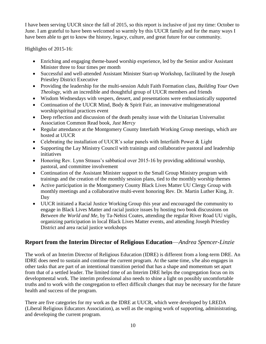I have been serving UUCR since the fall of 2015, so this report is inclusive of just my time: October to June. I am grateful to have been welcomed so warmly by this UUCR family and for the many ways I have been able to get to know the history, legacy, culture, and great future for our community.

Highlights of 2015-16:

- Enriching and engaging theme-based worship experience, led by the Senior and/or Assistant Minister three to four times per month
- Successful and well-attended Assistant Minister Start-up Workshop, facilitated by the Joseph Priestley District Executive
- Providing the leadership for the multi-session Adult Faith Formation class, *Building Your Own Theology*, with an incredible and thoughtful group of UUCR members and friends
- Wisdom Wednesdays with vespers, dessert, and presentations were enthusiastically supported
- Continuation of the UUCR Mind, Body & Spirit Fair, an innovative multigenerational worship/spiritual practices event
- Deep reflection and discussion of the death penalty issue with the Unitarian Universalist Association Common Read book, *Just Mercy*
- Regular attendance at the Montgomery County Interfaith Working Group meetings, which are hosted at UUCR
- Celebrating the installation of UUCR's solar panels with Interfaith Power & Light
- Supporting the Lay Ministry Council with trainings and collaborative pastoral and leadership initiatives
- Honoring Rev. Lynn Strauss's sabbatical over 2015-16 by providing additional worship, pastoral, and committee involvement
- Continuation of the Assistant Minister support to the Small Group Ministry program with trainings and the creation of the monthly session plans, tied to the monthly worship themes
- Active participation in the Montgomery County Black Lives Matter UU Clergy Group with monthly meetings and a collaborative multi-event honoring Rev. Dr. Martin Luther King, Jr. Day
- UUCR initiated a Racial Justice Working Group this year and encouraged the community to engage in Black Lives Matter and racial justice issues by hosting two book discussions on *Between the World and Me*, by Ta-Nehisi Coates, attending the regular River Road UU vigils, organizing participation in local Black Lives Matter events, and attending Joseph Priestley District and area racial justice workshops

# **Report from the Interim Director of Religious Education**—*Andrea Spencer-Linzie*

The work of an Interim Director of Religious Education (IDRE) is different from a long-term DRE. An IDRE does need to sustain and continue the current program. At the same time, s/he also engages in other tasks that are part of an intentional transition period that has a shape and momentum set apart from that of a settled leader. The limited time of an Interim DRE helps the congregation focus on its developmental work. The interim professional also needs to shine a light on possibly uncomfortable truths and to work with the congregation to effect difficult changes that may be necessary for the future health and success of the program.

There are five categories for my work as the IDRE at UUCR, which were developed by LREDA (Liberal Religious Educators Association), as well as the ongoing work of supporting, administrating, and developing the current program.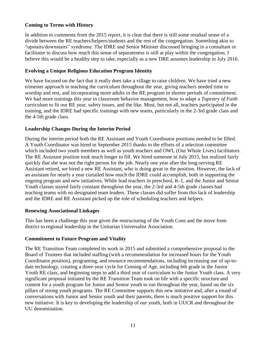#### **Coming to Terms with History**

In addition to comments from the 2015 report, it is clear that there is still some residual sense of a divide between the RE teachers/helpers/students and the rest of the congregation. Something akin to "upstairs/downstairs" syndrome. The IDRE and Senior Minister discussed bringing in a consultant or facilitator to discuss how much this sense of separateness is still at play within the congregation. I believe this would be a healthy step to take, especially as a new DRE assumes leadership in July 2016.

#### **Evolving a Unique Religious Education Program Identity**

We have focused on the fact that it really does take a village to raise children. We have tried a new trimester approach in teaching the curriculum throughout the year, giving teachers needed time to worship and rest, and incorporating more adults in the RE program in shorter periods of commitment. We had more trainings this year in classroom behavior management, how to adapt a *Tapestry of Faith* curriculum to fit our RE year, safety issues, and the like. Most, but not all, teachers participated in the training, and the IDRE had specific trainings with new teams, particularly in the 2-3rd grade class and the 4-5th grade class.

#### **Leadership Changes During the Interim Period**

During the interim period both the RE Assistant and Youth Coordinator positions needed to be filled. A Youth Coordinator was hired in September 2015 thanks to the efforts of a selection committee which included two youth members as well as youth teachers and OWL (Our Whole Lives) facilitators. The RE Assistant position took much longer to fill. We hired someone in July 2015, but realized fairly quickly that she was not the right person for the job. Nearly one year after the long-serving RE Assistant retired, we hired a new RE Assistant, who is doing great in the position. However, the lack of an assistant for nearly a year curtailed how much the IDRE could accomplish, both in supporting the ongoing program and new initiatives. While lead teachers in preschool, K-1, and the Junior and Senior Youth classes stayed fairly constant throughout the year, the 2-3rd and 4-5th grade classes had teaching teams with no designated team leaders. These classes did suffer from this lack of leadership and the IDRE and RE Assistant picked up the role of scheduling teachers and helpers.

#### **Renewing Associational Linkages**

This has been a challenge this year given the restructuring of the Youth Cons and the move from district to regional leadership in the Unitarian Universalist Association.

#### **Commitment to Future Program and Vitality**

The RE Transition Team completed its work in 2015 and submitted a comprehensive proposal to the Board of Trustees that included staffing (with a recommendation for increased hours for the Youth Coordinator position), programing, and resource recommendations, including increasing use of up-todate technology, creating a three-year cycle for Coming of Age, including 6th grade in the Junior Youth RE class, and beginning steps to add a third year of curriculum to the Junior Youth class. A very significant proposal initiated by the RE Transition Team took on life with a specific structure and content for a youth program for Junior and Senior youth to run throughout the year, based on the six pillars of strong youth programs. The RE Committee supports this new initiative and, after a round of conversations with Junior and Senior youth and their parents, there is much positive support for this new initiative. It is key to developing the leadership of our youth, both in UUCR and throughout the UU denomination.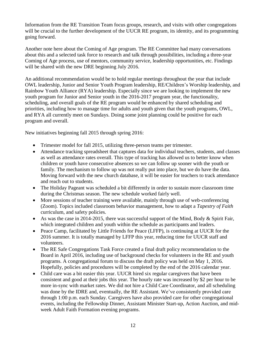Information from the RE Transition Team focus groups, research, and visits with other congregations will be crucial to the further development of the UUCR RE program, its identity, and its programming going forward.

Another note here about the Coming of Age program. The RE Committee had many conversations about this and a selected task force to research and talk through possibilities, including a three-year Coming of Age process, use of mentors, community service, leadership opportunities, etc. Findings will be shared with the new DRE beginning July 2016.

An additional recommendation would be to hold regular meetings throughout the year that include OWL leadership, Junior and Senior Youth Program leadership, RE/Children's Worship leadership, and Rainbow Youth Alliance (RYA) leadership. Especially since we are looking to implement the new youth program for Junior and Senior youth in the 2016-2017 program year, the functionality, scheduling, and overall goals of the RE program would be enhanced by shared scheduling and priorities, including how to manage time for adults and youth given that the youth programs, OWL, and RYA all currently meet on Sundays. Doing some joint planning could be positive for each program and overall.

New initiatives beginning fall 2015 through spring 2016:

- Trimester model for fall 2015, utilizing three-person teams per trimester.
- Attendance tracking spreadsheet that captures data for individual teachers, students, and classes as well as attendance rates overall. This type of tracking has allowed us to better know when children or youth have consecutive absences so we can follow up sooner with the youth or family. The mechanism to follow up was not really put into place, but we do have the data. Moving forward with the new church database, it will be easier for teachers to track attendance and reach out to students.
- The Holiday Pageant was scheduled a bit differently in order to sustain more classroom time during the Christmas season. The new schedule worked fairly well.
- More sessions of teacher training were available, mainly through use of web-conferencing (Zoom). Topics included classroom behavior management, how to adapt a *Tapestry of Faith* curriculum, and safety policies.
- As was the case in 2014-2015, there was successful support of the Mind, Body  $&$  Spirit Fair, which integrated children and youth within the schedule as participants and leaders.
- Peace Camp, facilitated by Little Friends for Peace (LFFP), is continuing at UUCR for the 2016 summer. It is totally managed by LFFP this year, reducing time for UUCR staff and volunteers.
- The RE Safe Congregations Task Force created a final draft policy recommendation to the Board in April 2016, including use of background checks for volunteers in the RE and youth programs. A congregational forum to discuss the draft policy was held on May 1, 2016. Hopefully, policies and procedures will be completed by the end of the 2016 calendar year.
- Child care was a bit easier this year. UUCR hired six regular caregivers that have been consistent and good at their jobs this year. The hourly rate was increased by \$2 per hour to be more in-sync with market rates. We did not hire a Child Care Coordinator, and all scheduling was done by the IDRE and, eventually, the RE Assistant. We've consistently provided care through 1:00 p.m. each Sunday. Caregivers have also provided care for other congregational events, including the Fellowship Dinner, Assistant Minister Start-up, Action Auction, and midweek Adult Faith Formation evening programs.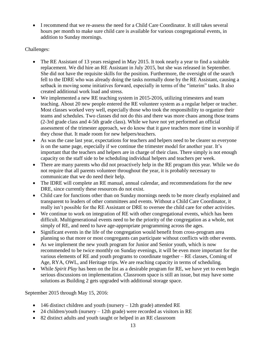I recommend that we re-assess the need for a Child Care Coordinator. It still takes several hours per month to make sure child care is available for various congregational events, in addition to Sunday mornings.

#### Challenges:

- The RE Assistant of 13 years resigned in May 2015. It took nearly a year to find a suitable replacement. We did hire an RE Assistant in July 2015, but she was released in September. She did not have the requisite skills for the position. Furthermore, the oversight of the search fell to the IDRE who was already doing the tasks normally done by the RE Assistant, causing a setback in moving some initiatives forward, especially in terms of the "interim" tasks. It also created additional work load and stress.
- We implemented a new RE teaching system in 2015-2016, utilizing trimesters and team teaching. About 20 new people entered the RE volunteer system as a regular helper or teacher. Most classes worked very well, especially those who took the responsibility to organize their teams and schedules. Two classes did not do this and there was more chaos among those teams (2-3rd grade class and 4-5th grade class). While we have not yet performed an official assessment of the trimester approach, we do know that it gave teachers more time in worship if they chose that. It made room for new helpers/teachers.
- As was the case last year, expectations for teachers and helpers need to be clearer so everyone is on the same page, especially if we continue the trimester model for another year. It's important that the teachers and helpers are in charge of their class. There simply is not enough capacity on the staff side to be scheduling individual helpers and teachers per week.
- There are many parents who did not proactively help in the RE program this year. While we do not require that all parents volunteer throughout the year, it is probably necessary to communicate that we do need their help.
- The IDRE will complete an RE manual, annual calendar, and recommendations for the new DRE, since currently these resources do not exist.
- Child care for functions other than on Sunday mornings needs to be more clearly explained and transparent to leaders of other committees and events. Without a Child Care Coordinator, it really isn't possible for the RE Assistant or DRE to oversee the child care for other activities.
- We continue to work on integration of RE with other congregational events, which has been difficult. Multigenerational events need to be the priority of the congregation as a whole, not simply of RE, and need to have age-appropriate programming across the ages.
- Significant events in the life of the congregation would benefit from cross-program area planning so that more or most congregants can participate without conflicts with other events.
- As we implement the new youth program for Junior and Senior youth, which is now recommended to be twice monthly on Sunday evenings, it will be even more important for the various elements of RE and youth programs to coordinate together – RE classes, Coming of Age, RYA, OWL, and Heritage trips. We are reaching capacity in terms of scheduling.
- While *Spirit Play* has been on the list as a desirable program for RE, we have yet to even begin serious discussions on implementation. Classroom space is still an issue, but may have some solutions as Building 2 gets upgraded with additional storage space.

September 2015 through May 15, 2016:

- 146 distinct children and youth (nursery 12th grade) attended RE
- 24 children/youth (nursery 12th grade) were recorded as visitors in RE
- 82 distinct adults and youth taught or helped in an RE classroom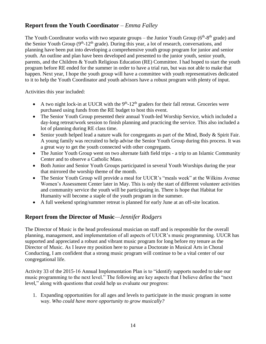#### **Report from the Youth Coordinator** *– Emma Falley*

The Youth Coordinator works with two separate groups – the Junior Youth Group ( $6<sup>th</sup>$ - $8<sup>th</sup>$  grade) and the Senior Youth Group  $(9<sup>th</sup>-12<sup>th</sup>$  grade). During this year, a lot of research, conversations, and planning have been put into developing a comprehensive youth group program for junior and senior youth. An outline and plan have been developed and presented to the junior youth, senior youth, parents, and the Children & Youth Religious Education (RE) Committee. I had hoped to start the youth program before RE ended for the summer in order to have a trial run, but was not able to make that happen. Next year, I hope the youth group will have a committee with youth representatives dedicated to it to help the Youth Coordinator and youth advisors have a robust program with plenty of input.

Activities this year included:

- A two night lock-in at UUCR with the  $9<sup>th</sup>$ -12<sup>th</sup> graders for their fall retreat. Groceries were purchased using funds from the RE budget to host this event.
- The Senior Youth Group presented their annual Youth-led Worship Service, which included a day-long retreat/work session to finish planning and practicing the service. This also included a lot of planning during RE class time.
- Senior youth helped lead a nature walk for congregants as part of the Mind, Body & Spirit Fair. A young family was recruited to help advise the Senior Youth Group during this process. It was a great way to get the youth connected with other congregants.
- The Junior Youth Group went on two alternate faith field trips a trip to an Islamic Community Center and to observe a Catholic Mass.
- Both Junior and Senior Youth Groups participated in several Youth Worships during the year that mirrored the worship theme of the month.
- The Senior Youth Group will provide a meal for UUCR's "meals week" at the Wilkins Avenue Women's Assessment Center later in May. This is only the start of different volunteer activities and community service the youth will be participating in. There is hope that Habitat for Humanity will become a staple of the youth program in the summer.
- A full weekend spring/summer retreat is planned for early June at an off-site location.

#### **Report from the Director of Music***—Jennifer Rodgers*

The Director of Music is the head professional musician on staff and is responsible for the overall planning, management, and implementation of all aspects of UUCR's music programming. UUCR has supported and appreciated a robust and vibrant music program for long before my tenure as the Director of Music. As I leave my position here to pursue a Doctorate in Musical Arts in Choral Conducting, I am confident that a strong music program will continue to be a vital center of our congregational life.

Activity 33 of the 2015-16 Annual Implementation Plan is to "identify supports needed to take our music programming to the next level." The following are key aspects that I believe define the "next level," along with questions that could help us evaluate our progress:

1. Expanding opportunities for all ages and levels to participate in the music program in some way. *Who could have more opportunity to grow musically?*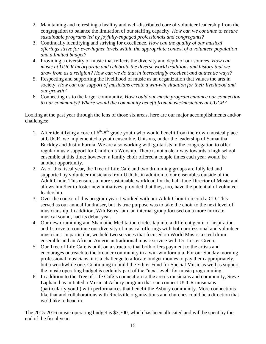- 2. Maintaining and refreshing a healthy and well-distributed core of volunteer leadership from the congregation to balance the limitation of our staffing capacity. *How can we continue to ensure sustainable programs led by joyfully-engaged professionals and congregants?*
- 3. Continually identifying and striving for excellence. *How can the quality of our musical offerings strive for ever-higher levels within the appropriate context of a volunteer population and a limited budget?*
- 4. Providing a diversity of music that reflects the diversity and depth of our sources. *How can music at UUCR incorporate and celebrate the diverse world traditions and history that we draw from as a religion? How can we do that in increasingly excellent and authentic ways?*
- 5. Respecting and supporting the livelihood of music as an organization that values the arts in society. *How can our support of musicians create a win-win situation for their livelihood and our growth?*
- 6. Connecting us to the larger community. *How could our music program enhance our connection to our community? Where would the community benefit from music/musicians at UUCR?*

Looking at the past year through the lens of those six areas, here are our major accomplishments and/or challenges:

- 1. After identifying a core of  $6<sup>th</sup>-8<sup>th</sup>$  grade youth who would benefit from their own musical place at UUCR, we implemented a youth ensemble, Unisons, under the leadership of Samantha Buckley and Justin Furnia. We are also working with guitarists in the congregation to offer regular music support for Children's Worship. There is not a clear way towards a high school ensemble at this time; however, a family choir offered a couple times each year would be another opportunity.
- 2. As of this fiscal year, the Tree of Life Café and two drumming groups are fully led and supported by volunteer musicians from UUCR, in addition to our ensembles outside of the Adult Choir. This ensures a more sustainable workload for the half-time Director of Music and allows him/her to foster new initiatives, provided that they, too, have the potential of volunteer leadership.
- 3. Over the course of this program year, I worked with our Adult Choir to record a CD. This served as our annual fundraiser, but its true purpose was to take the choir to the next level of musicianship. In addition, WildBerry Jam, an internal group focused on a more intricate musical sound, had its debut year.
- 4. Our new drumming and Shamanic Meditation circles tap into a different genre of inspiration and I strove to continue our diversity of musical offerings with both professional and volunteer musicians. In particular, we held two services that focused on World Music: a steel drum ensemble and an African American traditional music service with Dr. Lester Green.
- 5. Our Tree of Life Café is built on a structure that both offers payment to the artists and encourages outreach to the broader community in a win-win formula. For our Sunday morning professional musicians, it is a challenge to allocate budget monies to pay them appropriately, but a worthwhile one. Continuing to build the Ethier Fund for Special Music as well as support the music operating budget is certainly part of the "next level" for music programming.
- 6. In addition to the Tree of Life Café's connection to the area's musicians and community, Steve Lapham has initiated a Music at Asbury program that can connect UUCR musicians (particularly youth) with performances that benefit the Asbury community. More connections like that and collaborations with Rockville organizations and churches could be a direction that we'd like to head in.

The 2015-2016 music operating budget is \$3,700, which has been allocated and will be spent by the end of the fiscal year.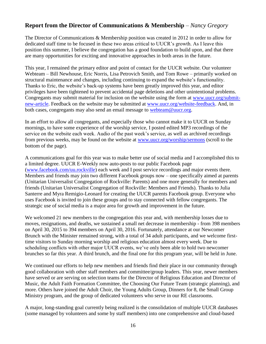#### **Report from the Director of Communications & Membership** *– Nancy Gregory*

The Director of Communications & Membership position was created in 2012 in order to allow for dedicated staff time to be focused in these two areas critical to UUCR's growth. As I leave this position this summer, I believe the congregation has a good foundation to build upon, and that there are many opportunities for exciting and innovative approaches in both areas in the future.

This year, I remained the primary editor and point of contact for the UUCR website. Our volunteer Webteam – Bill Newhouse, Eric Norris, Lisa Petrovich Smith, and Tom Rowe – primarily worked on structural maintenance and changes, including continuing to expand the website's functionality. Thanks to Eric, the website's back-up systems have been greatly improved this year, and editor privileges have been tightened to prevent accidental page deletions and other unintentional problems. Congregants may submit material for inclusion on the website using the form at [www.uucr.org/submit](http://www.uucr.org/submit-new-article)[new-article.](http://www.uucr.org/submit-new-article) Feedback on the website may be submitted at [www.uucr.org/website-feedback.](http://www.uucr.org/website-feedback) And, in both cases, congregants may also send an email message to [webteam@uucr.org.](mailto:webteam@uucr.org)

In an effort to allow all congregants, and especially those who cannot make it to UUCR on Sunday mornings, to have some experience of the worship service, I posted edited MP3 recordings of the service on the website each week. Audio of the past week's service, as well as archived recordings from previous weeks, may be found on the website at [www.uucr.org/worship/sermons](http://www.uucr.org/worship/sermons) (scroll to the bottom of the page).

A communications goal for this year was to make better use of social media and I accomplished this to a limited degree. UUCR E-Weekly now auto-posts to our public Facebook page [\(www.facebook.com/uu.rockville\)](http://www.facebook.com/uu.rockville) each week and I post service recordings and major events there. Members and friends may join two different Facebook groups now – one specifically aimed at parents (Unitarian Universalist Congregation of Rockville: Parents) and one more generally for members and friends (Unitarian Universalist Congregation of Rockville: Members and Friends). Thanks to Julia Santerre and Myra Remigio-Leonard for creating the UUCR parents Facebook group. Everyone who uses Facebook is invited to join these groups and to stay connected with fellow congregants. The strategic use of social media is a major area for growth and improvement in the future.

We welcomed 21 new members to the congregation this year and, with membership losses due to moves, resignations, and deaths, we sustained a small net decrease in membership - from 398 members on April 30, 2015 to 394 members on April 30, 2016. Fortunately, attendance at our Newcomer Brunch with the Minister remained strong, with a total of 34 adult participants, and we welcome firsttime visitors to Sunday morning worship and religious education almost every week. Due to scheduling conflicts with other major UUCR events, we've only been able to hold two newcomer brunches so far this year. A third brunch, and the final one for this program year, will be held in June.

We continued our efforts to help new members and friends find their place in our community through good collaboration with other staff members and committee/group leaders. This year, newer members have served or are serving on selection teams for the Director of Religious Education and Director of Music, the Adult Faith Formation Committee, the Choosing Our Future Team (strategic planning), and more. Others have joined the Adult Choir, the Young Adults Group, Dinners for 8, the Small Group Ministry program, and the group of dedicated volunteers who serve in our RE classrooms.

A major, long-standing goal currently being realized is the consolidation of multiple UUCR databases (some managed by volunteers and some by staff members) into one comprehensive and cloud-based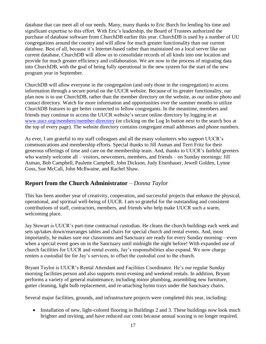database that can meet all of our needs. Many, many thanks to Eric Burch for lending his time and significant expertise to this effort. With Eric's leadership, the Board of Trustees authorized the purchase of database software from ChurchDB earlier this year. ChurchDB is used by a number of UU congregations around the country and will allow for much greater functionality than our current database. Best of all, because it's Internet-based rather than maintained on a local server like our current database, ChurchDB will allow us to consolidate records of all kinds into one location and provide for much greater efficiency and collaboration. We are now in the process of migrating data into ChurchDB, with the goal of being fully operational in the new system for the start of the new program year in September.

ChurchDB will allow everyone in the congregation (and only those in the congregation) to access information through a secure portal on the UUCR website. Because of its greater functionality, our plan now is to use ChurchDB, rather than the member directory on the website, as our online photo and contact directory. Watch for more information and opportunities over the summer months to utilize ChurchDB features to get better connected to fellow congregants. In the meantime, members and friends may continue to access the UUCR website's secure online directory by logging in at [www.uucr.org/members/member-directory](http://www.uucr.org/members/member-directory) (or clicking on the Log In button next to the search box at the top of every page). The website directory contains congregant email addresses and phone numbers.

As ever, I am grateful to my staff colleagues and all the many volunteers who support UUCR's communications and membership efforts. Special thanks to Jill Asman and Terri Fritz for their generous offerings of time and care on the membership team. And, thanks to UUCR's faithful greeters who warmly welcome all – visitors, newcomers, members, and friends – on Sunday mornings: Jill Asman, Bob Campbell, Paulette Campbell, John Dickson, Judy Eisenhauer, Jewell Golden, Lynne Goss, Sue McCall, John McIlwaine, and Rachel Shaw.

#### **Report from the Church Administrator** *– Donna Taylor*

This has been another year of creativity, cooperation, and successful projects that enhance the physical, operational, and spiritual well-being of UUCR. I am so grateful for the outstanding and consistent contributions of staff, contractors, members, and friends who help make UUCR such a warm, welcoming place.

Jay Stewart is UUCR's part-time contractual custodian. He cleans the church buildings each week and sets up/takes down/rearranges tables and chairs for special church and rental events. And, most importantly, he makes sure our classrooms and Sanctuary are ready for every Sunday morning—even when a special event goes on in the Sanctuary until midnight the night before! With expanded use of church facilities for UUCR and rental events, Jay's responsibilities also expand. We now charge renters a custodial fee for Jay's services, to offset the custodial cost to the church.

Bryant Taylor is UUCR's Rental Attendant and Facilities Coordinator. He's our regular Sunday morning facilities person and also supports most evening and weekend rentals. In addition, Bryant performs a variety of general maintenance, including minor plumbing, assembling new furniture, gutter cleaning, light bulb replacement, and re-attaching hymn trays under the Sanctuary chairs.

Several major facilities, grounds, and infrastructure projects were completed this year, including:

• Installation of new, light-colored flooring in Buildings 2 and 3. These buildings now look much brighter and inviting, and have reduced our costs because annual waxing is no longer required.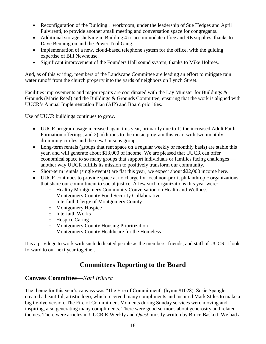- Reconfiguration of the Building 1 workroom, under the leadership of Sue Hedges and April Pulvirenti, to provide another small meeting and conversation space for congregants.
- Additional storage shelving in Building 4 to accommodate office and RE supplies, thanks to Dave Bennington and the Power Tool Gang.
- Implementation of a new, cloud-based telephone system for the office, with the guiding expertise of Bill Newhouse.
- Significant improvement of the Founders Hall sound system, thanks to Mike Holmes.

And, as of this writing, members of the Landscape Committee are leading an effort to mitigate rain water runoff from the church property into the yards of neighbors on Lynch Street.

Facilities improvements and major repairs are coordinated with the Lay Minister for Buildings & Grounds (Marie Reed) and the Buildings & Grounds Committee, ensuring that the work is aligned with UUCR's Annual Implementation Plan (AIP) and Board priorities.

Use of UUCR buildings continues to grow.

- UUCR program usage increased again this year, primarily due to 1) the increased Adult Faith Formation offerings, and 2) additions to the music program this year, with two monthly drumming circles and the new Unisons group.
- Long-term rentals (groups that rent space on a regular weekly or monthly basis) are stable this year, and will generate about \$13,000 of income. We are pleased that UUCR can offer economical space to so many groups that support individuals or families facing challenges another way UUCR fulfills its mission to positively transform our community.
- Short-term rentals (single events) are flat this year; we expect about \$22,000 income here.
- UUCR continues to provide space at no charge for local non-profit philanthropic organizations that share our commitment to social justice. A few such organizations this year were:
	- o Healthy Montgomery Community Conversation on Health and Wellness
	- o Montgomery County Food Security Collaborative
	- o Interfaith Clergy of Montgomery County
	- o Montgomery Hospice
	- o Interfaith Works
	- o Hospice Caring
	- o Montgomery County Housing Prioritization
	- o Montgomery County Healthcare for the Homeless

It is a privilege to work with such dedicated people as the members, friends, and staff of UUCR. I look forward to our next year together.

# **Committees Reporting to the Board**

#### **Canvass Committee**—*Karl Irikura*

The theme for this year's canvass was "The Fire of Commitment" (hymn #1028). Susie Spangler created a beautiful, artistic logo, which received many compliments and inspired Mark Stiles to make a big tie-dye version. The Fire of Commitment Moments during Sunday services were moving and inspiring, also generating many compliments. There were good sermons about generosity and related themes. There were articles in UUCR E-Weekly and *Quest*, mostly written by Bruce Baskett. We had a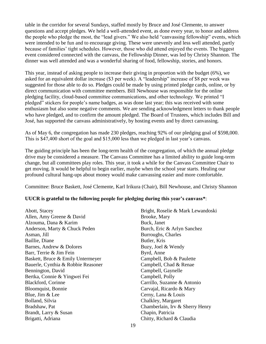table in the corridor for several Sundays, staffed mostly by Bruce and José Clemente, to answer questions and accept pledges. We held a well-attended event, as done every year, to honor and address the people who pledge the most, the "lead givers." We also held "canvassing fellowship" events, which were intended to be fun and to encourage giving. These were unevenly and less well attended, partly because of families' tight schedules. However, those who did attend enjoyed the events. The biggest event considered connected with the canvass, the Fellowship Dinner, was led by Christy Shannon. The dinner was well attended and was a wonderful sharing of food, fellowship, stories, and honors.

This year, instead of asking people to increase their giving in proportion with the budget (6%), we asked for an equivalent dollar increase (\$3 per week). A "leadership" increase of \$8 per week was suggested for those able to do so. Pledges could be made by using printed pledge cards, online, or by direct communication with committee members. Bill Newhouse was responsible for the online pledging facility, cloud-based committee communications, and other technology. We printed "I pledged" stickers for people's name badges, as was done last year; this was received with some enthusiasm but also some negative comments. We are sending acknowledgment letters to thank people who have pledged, and to confirm the amount pledged. The Board of Trustees, which includes Bill and José, has supported the canvass administratively, by hosting events and by direct canvassing.

As of May 6, the congregation has made 230 pledges, reaching 92% of our pledging goal of \$598,000. This is \$47,400 short of the goal and \$15,000 less than we pledged in last year's canvass.

The guiding principle has been the long-term health of the congregation, of which the annual pledge drive may be considered a measure. The Canvass Committee has a limited ability to guide long-term change, but all committees play roles. This year, it took a while for the Canvass Committee Chair to get moving. It would be helpful to begin earlier, maybe when the school year starts. Healing our profound cultural hang-ups about money would make canvassing easier and more comfortable.

Committee: Bruce Baskett, José Clemente, Karl Irikura (Chair), Bill Newhouse, and Christy Shannon

#### **UUCR is grateful to the following people for pledging during this year's canvass\***:

Abott, Stacey Allen, Amy Greene & David Alzouma, Dana & Karim Anderson, Marty & Chuck Peden Asman, Jill Baillie, Diane Barnes, Andrew & Dolores Barr, Terrie & Jim Fein Baskett, Bruce & Emily Untermeyer Bauerle, Cynthia & Robbie Reasoner Bennington, David Bertka, Connie & Yingwei Fei Blackford, Corinne Bloomquist, Bonnie Blue, Jim & Lee Bolland, Silvia Bradshaw, Pat Brandt, Larry & Susan Brigatti, Adriana

Bright, Roselie & Mark Lewandoski Brooke, Mary Buck, Janet Burch, Eric & Arlyn Sanchez Burroughs, Charles Butler, Kris Buzy, Joel & Wendy Byrd, Anne Campbell, Bob & Paulette Campbell, Chad & Renae Campbell, Gaynelle Campbell, Polly Carrillo, Suzanne & Antonio Carvajal, Ricardo & Mary Cerny, Lana & Louis Chalkley, Margaret Chamberlain, Irv & Sherry Henry Chapin, Patricia Chitty, Richard & Claudia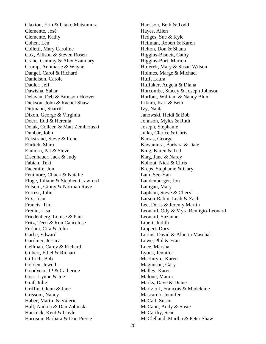Claxton, Erin & Utako Matsumura Clemente, José Clemente, Kathy Cohen, Len Colletti, Mary Caroline Cox, Allison & Steven Rosen Crane, Cammy & Alex Szatmary Crump, Annmarie & Wayne Dangel, Carol & Richard Danielson, Carole Dauler, Jeff Dawisha, Sahar Delavan, Deb & Bronson Hoover Dickson, John & Rachel Shaw Dittmann, Sharrill Dixon, George & Virginia Doerr, Edd & Herenia Dolak, Colleen & Matt Zembrzuski Dunbar, John Eckstrand, Steve & Irene Ehrlich, Shira Einhorn, Pat & Steve Eisenhauer, Jack & Judy Fabian, Teki Facemire, Jon Fenimore, Chuck & Natalie Floge, Liliane & Stephen Crawford Folsom, Ginny & Norman Rave Forrest, Julie Fox, Joan Francis, Tim Fredin, Lisa Friedenberg, Louise & Paul Fritz, Terri & Ron Cancelose Furlani, Cita & John Garbe, Edward Gardiner, Jessica Gellman, Carey & Richard Gilbert, Ethel & Richard Gilfrich, Bob Golden, Jewell Goodyear, JP & Catherine Goss, Lynne & Joe Graf, Julie Griffin, Glenn & Jane Grissom, Nancy Haber, Martin & Valerie Hall, Andrea & Dan Zabinski Hancock, Kent & Gayle Harrison, Barbara & Dan Pierce

Harrison, Beth & Todd Hayes, Allen Hedges, Sue & Kyle Heilman, Robert & Karen Helton, Don & Shana Higgins-Bisnett, Cathy Higgins-Bort, Marion Hoferek, Mary & Susan Wilson Holmes, Marge & Michael Huff, Laura Huffaker, Angela & Diana Hurcombe, Stacey & Joseph Johnson Hurlbut, William & Nancy Blum Irikura, Karl & Beth Ivy, Nahla Janowski, Heidi & Bob Johnson, Myles & Ruth Joseph, Stephanie Julka, Clarice & Chris Karras, George Kawamura, Barbara & Dale King, Karen & Ted Klag, Jane & Narcy Kohout, Nick & Chris Kreps, Stephanie & Gary Lam, See-Yan Landenburger, Jon Lanigan, Mary Lapham, Steve & Cheryl Larson-Rabin, Leah & Zach Lee, Doris & Jeremy Martin Leonard, Ody & Myra Remigio-Leonard Leonard, Suzanne Libert, Judith Lippert, Dory Lorms, David & Alberta Maschal Lowe, Phil & Fran Luce, Marsha Lyons, Jennifer MacIntyre, Karen Magnuson, Gary Malley, Karen Malone, Maura Marks, Dave & Diane Martzloff, François & Madeleine Mascardo, Jennifer McCall, Susan McCann, Andy & Susie McCarthy, Sean McClelland, Martha & Peter Shaw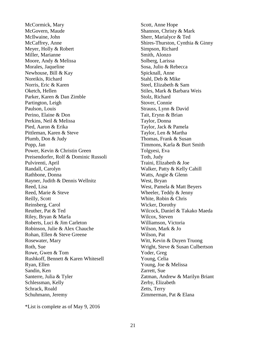McCormick, Mary McGovern, Maude McIlwaine, John McCaffrey, Anne Meyer, Holly & Robert Miller, Marianne Moore, Andy & Melissa Morales, Jaqueline Newhouse, Bill & Kay Noreikis, Richard Norris, Eric & Karen Oketch, Hellen Parker, Karen & Dan Zimble Partington, Leigh Paulson, Louis Perino, Elaine & Don Perkins, Neil & Melissa Pied, Aaron & Erika Pittleman, Karen & Steve Plumb, Don & Judy Popp, Jan Power, Kevin & Christin Green Preisendorfer, Rolf & Dominic Russoli Pulvirenti, April Randall, Carolyn Rathbone, Donna Rayner, Judith & Dennis Wellnitz Reed, Lisa Reed, Marie & Steve Reilly, Scott Reinsberg, Carol Reuther, Pat & Ted Riley, Bryan & Marla Roberts, Luci & Jim Carleton Robinson, Julie & Alex Chauche Rohan, Ellen & Steve Greene Rosewater, Mary Roth, Sue Rowe, Gwen & Tom Rushkoff, Bennett & Karen Whitesell Ryan, Ellen Sandin, Ken Santerre, Julia & Tyler Schlessman, Kelly Schrack, Roald Schuhmann, Jeremy

Scott, Anne Hope Shannon, Christy & Mark Sherr, Marialyce & Ted Shires-Thurston, Cynthia & Ginny Simpson, Richard Smith, Alonzo Solberg, Larissa Sosa, Julio & Rebecca Spicknall, Anne Stahl, Deb & Mike Steel, Elizabeth & Sam Stiles, Mark & Barbara Weis Stolz, Richard Stover, Connie Strauss, Lynn & David Tait, Erynn & Brian Taylor, Donna Taylor, Jack & Pamela Taylor, Len & Martha Thomas, Frank & Susan Timmons, Karla & Burt Smith Tolgyesi, Eva Toth, Judy Traini, Elizabeth & Joe Walker, Patty & Kelly Cahill Watts, Angie & Glenn West, Bryan West, Pamela & Matt Beyers Wheeler, Teddy & Jenny White, Robin & Chris Wicker, Dorothy Wilcock, Daniel & Takako Maeda Wilcox, Steven Williamson, Victoria Wilson, Mark & Jo Wilson, Pat Witt, Kevin & Duyen Truong Wright, Steve & Susan Culbertson Yoder, Greg Young, Celia Young, Joe & Melissa Zarrett, Sue Zatman, Andrew & Marilyn Briant Zerby, Elizabeth Zetts, Terry Zimmerman, Pat & Elana

\*List is complete as of May 9, 2016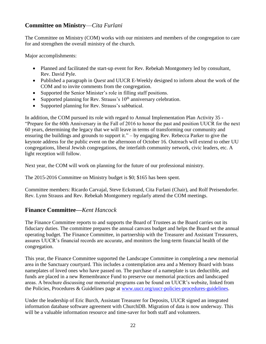#### **Committee on Ministry**—*Cita Furlani*

The Committee on Ministry (COM) works with our ministers and members of the congregation to care for and strengthen the overall ministry of the church.

Major accomplishments:

- Planned and facilitated the start-up event for Rev. Rebekah Montgomery led by consultant, Rev. David Pyle.
- Published a paragraph in *Quest* and UUCR E-Weekly designed to inform about the work of the COM and to invite comments from the congregation.
- Supported the Senior Minister's role in filling staff positions.
- Supported planning for Rev. Strauss's  $10<sup>th</sup>$  anniversary celebration.
- Supported planning for Rev. Strauss's sabbatical.

In addition, the COM pursued its role with regard to Annual Implementation Plan Activity 35 - "Prepare for the 60th Anniversary in the Fall of 2016 to honor the past and position UUCR for the next 60 years, determining the legacy that we will leave in terms of transforming our community and ensuring the buildings and grounds to support it." – by engaging Rev. Rebecca Parker to give the keynote address for the public event on the afternoon of October 16. Outreach will extend to other UU congregations, liberal Jewish congregations, the interfaith community network, civic leaders, etc. A light reception will follow.

Next year, the COM will work on planning for the future of our professional ministry.

The 2015-2016 Committee on Ministry budget is \$0; \$165 has been spent.

Committee members: Ricardo Carvajal, Steve Eckstrand, Cita Furlani (Chair), and Rolf Preisendorfer. Rev. Lynn Strauss and Rev. Rebekah Montgomery regularly attend the COM meetings.

#### **Finance Committee—***Kent Hancock*

The Finance Committee reports to and supports the Board of Trustees as the Board carries out its fiduciary duties. The committee prepares the annual canvass budget and helps the Board set the annual operating budget. The Finance Committee, in partnership with the Treasurer and Assistant Treasurers, assures UUCR's financial records are accurate, and monitors the long-term financial health of the congregation.

This year, the Finance Committee supported the Landscape Committee in completing a new memorial area in the Sanctuary courtyard. This includes a contemplation area and a Memory Board with brass nameplates of loved ones who have passed on. The purchase of a nameplate is tax deductible, and funds are placed in a new Remembrance Fund to preserve our memorial practices and landscaped areas. A brochure discussing our memorial programs can be found on UUCR's website, linked from the Policies, Procedures & Guidelines page at [www.uucr.org/uucr-policies-procedures-guidelines.](http://www.uucr.org/uucr-policies-procedures-guidelines)

Under the leadership of Eric Burch, Assistant Treasurer for Deposits, UUCR signed an integrated information database software agreement with ChurchDB. Migration of data is now underway. This will be a valuable information resource and time-saver for both staff and volunteers.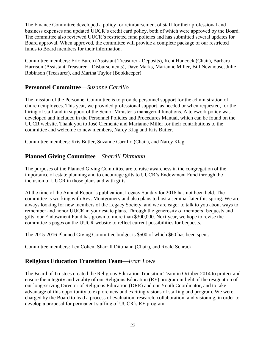The Finance Committee developed a policy for reimbursement of staff for their professional and business expenses and updated UUCR's credit card policy, both of which were approved by the Board. The committee also reviewed UUCR's restricted fund policies and has submitted several updates for Board approval. When approved, the committee will provide a complete package of our restricted funds to Board members for their information.

Committee members: Eric Burch (Assistant Treasurer - Deposits), Kent Hancock (Chair), Barbara Harrison (Assistant Treasurer – Disbursements), Dave Marks, Marianne Miller, Bill Newhouse, Julie Robinson (Treasurer), and Martha Taylor (Bookkeeper)

#### **Personnel Committee**—*Suzanne Carrillo*

The mission of the Personnel Committee is to provide personnel support for the administration of church employees. This year, we provided professional support, as needed or when requested, for the hiring of staff and in support of the Senior Minister's managerial functions. A telework policy was developed and included in the Personnel Policies and Procedures Manual, which can be found on the UUCR website. Thank you to José Clemente and Marianne Miller for their contributions to the committee and welcome to new members, Narcy Klag and Kris Butler.

Committee members: Kris Butler, Suzanne Carrillo (Chair), and Narcy Klag

#### **Planned Giving Committee**—*Sharrill Dittmann*

The purposes of the Planned Giving Committee are to raise awareness in the congregation of the importance of estate planning and to encourage gifts to UUCR's Endowment Fund through the inclusion of UUCR in those plans and with gifts.

At the time of the Annual Report's publication, Legacy Sunday for 2016 has not been held. The committee is working with Rev. Montgomery and also plans to host a seminar later this spring. We are always looking for new members of the Legacy Society, and we are eager to talk to you about ways to remember and honor UUCR in your estate plans. Through the generosity of members' bequests and gifts, our Endowment Fund has grown to more than \$300,000. Next year, we hope to revise the committee's pages on the UUCR website to reflect current possibilities for bequests.

The 2015-2016 Planned Giving Committee budget is \$500 of which \$60 has been spent.

Committee members: Len Cohen, Sharrill Dittmann (Chair), and Roald Schrack

#### **Religious Education Transition Team**—*Fran Lowe*

The Board of Trustees created the Religious Education Transition Team in October 2014 to protect and ensure the integrity and vitality of our Religious Education (RE) program in light of the resignation of our long-serving Director of Religious Education (DRE) and our Youth Coordinator, and to take advantage of this opportunity to explore new and exciting visions of staffing and program. We were charged by the Board to lead a process of evaluation, research, collaboration, and visioning, in order to develop a proposal for permanent staffing of UUCR's RE program.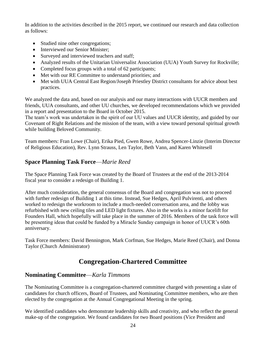In addition to the activities described in the 2015 report, we continued our research and data collection as follows:

- Studied nine other congregations;
- Interviewed our Senior Minister;
- Surveyed and interviewed teachers and staff;
- Analyzed results of the Unitarian Universalist Association (UUA) Youth Survey for Rockville;
- Completed focus groups with a total of 62 participants;
- Met with our RE Committee to understand priorities; and
- Met with UUA Central East Region/Joseph Priestley District consultants for advice about best practices.

We analyzed the data and, based on our analysis and our many interactions with UUCR members and friends, UUA consultants, and other UU churches, we developed recommendations which we provided in a report and presentation to the Board in October 2015.

The team's work was undertaken in the spirit of our UU values and UUCR identity, and guided by our Covenant of Right Relations and the mission of the team, with a view toward personal spiritual growth while building Beloved Community.

Team members: Fran Lowe (Chair), Erika Pied, Gwen Rowe, Andrea Spencer-Linzie (Interim Director of Religious Education), Rev. Lynn Strauss, Len Taylor, Beth Vann, and Karen Whitesell

#### **Space Planning Task Force**—*Marie Reed*

The Space Planning Task Force was created by the Board of Trustees at the end of the 2013-2014 fiscal year to consider a redesign of Building 1.

After much consideration, the general consensus of the Board and congregation was not to proceed with further redesign of Building 1 at this time. Instead, Sue Hedges, April Pulvirenti, and others worked to redesign the workroom to include a much-needed conversation area, and the lobby was refurbished with new ceiling tiles and LED light fixtures. Also in the works is a minor facelift for Founders Hall, which hopefully will take place in the summer of 2016. Members of the task force will be presenting ideas that could be funded by a Miracle Sunday campaign in honor of UUCR's 60th anniversary.

Task Force members: David Bennington, Mark Corfman, Sue Hedges, Marie Reed (Chair), and Donna Taylor (Church Administrator)

# **Congregation-Chartered Committee**

#### **Nominating Committee**—*Karla Timmons*

The Nominating Committee is a congregation-chartered committee charged with presenting a slate of candidates for church officers, Board of Trustees, and Nominating Committee members, who are then elected by the congregation at the Annual Congregational Meeting in the spring.

We identified candidates who demonstrate leadership skills and creativity, and who reflect the general make-up of the congregation. We found candidates for two Board positions (Vice President and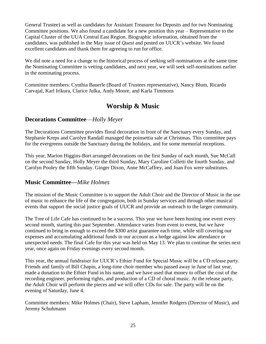General Trustee) as well as candidates for Assistant Treasurer for Deposits and for two Nominating Committee positions. We also found a candidate for a new position this year – Representative to the Capital Cluster of the UUA Central East Region. Biographic information, obtained from the candidates, was published in the May issue of *Quest* and posted on UUCR's website. We found excellent candidates and thank them for agreeing to run for office.

We did note a need for a change to the historical process of seeking self-nominations at the same time the Nominating Committee is vetting candidates, and next year, we will seek self-nominations earlier in the nominating process.

Committee members: Cynthia Bauerle (Board of Trustees representative), Nancy Blum, Ricardo Carvajal, Karl Irikura, Clarice Julka, Andy Moore, and Karla Timmons

# **Worship & Music**

#### **Decorations Committee**—*Holly Meyer*

The Decorations Committee provides floral decoration in front of the Sanctuary every Sunday, and Stephanie Kreps and Carolyn Randall managed the poinsettia sale at Christmas. This committee pays for the evergreens outside the Sanctuary during the holidays, and for some memorial receptions.

This year, Marion Higgins-Bort arranged decorations on the first Sunday of each month, Sue McCall on the second Sunday, Holly Meyer the third Sunday, Mary Caroline Colletti the fourth Sunday, and Carolyn Pooley the fifth Sunday. Ginger Dixon, Anne McCaffrey, and Joan Fox were substitutes.

#### **Music Committee—***Mike Holmes*

The mission of the Music Committee is to support the Adult Choir and the Director of Music in the use of music to enhance the life of the congregation, both in Sunday services and through other musical events that support the social justice goals of UUCR and provide an outreach to the larger community.

The Tree of Life Cafe has continued to be a success. This year we have been hosting one event every second month, starting this past September. Attendance varies from event to event, but we have continued to bring in enough to exceed the \$300 artist guarantee each time, while still covering our expenses and accumulating additional funds in our account as a hedge against low attendance or unexpected needs. The final Cafe for this year was held on May 13. We plan to continue the series next year, once again on Friday evenings every second month.

This year, the annual fundraiser for UUCR's Ethier Fund for Special Music will be a CD release party. Friends and family of Bill Chapin, a long-time choir member who passed away in June of last year, made a donation to the Ethier Fund in his name, and we have used that money to offset the cost of the recording engineer, performing rights, and production of a CD of choral music. At the release party, the Adult Choir will perform the pieces and we will offer CDs for sale. The party will be on the evening of Saturday, June 4.

Committee members: Mike Holmes (Chair), Steve Lapham, Jennifer Rodgers (Director of Music), and Jeremy Schuhmann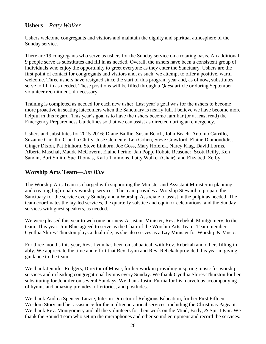#### **Ushers—***Patty Walker*

Ushers welcome congregants and visitors and maintain the dignity and spiritual atmosphere of the Sunday service.

There are 19 congregants who serve as ushers for the Sunday service on a rotating basis. An additional 9 people serve as substitutes and fill in as needed. Overall, the ushers have been a consistent group of individuals who enjoy the opportunity to greet everyone as they enter the Sanctuary. Ushers are the first point of contact for congregants and visitors and, as such, we attempt to offer a positive, warm welcome. Three ushers have resigned since the start of this program year and, as of now, substitutes serve to fill in as needed. These positions will be filled through a *Quest* article or during September volunteer recruitment, if necessary.

Training is completed as needed for each new usher. Last year's goal was for the ushers to become more proactive in seating latecomers when the Sanctuary is nearly full. I believe we have become more helpful in this regard. This year's goal is to have the ushers become familiar (or at least read) the Emergency Preparedness Guidelines so that we can assist as directed during an emergency.

Ushers and substitutes for 2015-2016: Diane Baillie, Susan Beach, John Beach, Antonio Carrillo, Suzanne Carrillo, Claudia Chitty, José Clemente, Len Cohen, Steve Crawford, Elaine Diamondidis, Ginger Dixon, Pat Einhorn, Steve Einhorn, Joe Goss, Mary Hoferek, Narcy Klag, David Lorms, Alberta Maschal, Maude McGovern, Elaine Perino, Jan Popp, Robbie Reasoner, Scott Reilly, Ken Sandin, Burt Smith, Sue Thomas, Karla Timmons, Patty Walker (Chair), and Elizabeth Zerby

#### **Worship Arts Team**—*Jim Blue*

The Worship Arts Team is charged with supporting the Minister and Assistant Minister in planning and creating high-quality worship services. The team provides a Worship Steward to prepare the Sanctuary for the service every Sunday and a Worship Associate to assist in the pulpit as needed. The team coordinates the lay-led services, the quarterly solstice and equinox celebrations, and the Sunday services with guest speakers, as needed.

We were pleased this year to welcome our new Assistant Minister, Rev. Rebekah Montgomery, to the team. This year, Jim Blue agreed to serve as the Chair of the Worship Arts Team. Team member Cynthia Shires-Thurston plays a dual role, as she also serves as a Lay Minister for Worship & Music.

For three months this year, Rev. Lynn has been on sabbatical, with Rev. Rebekah and others filling in ably. We appreciate the time and effort that Rev. Lynn and Rev. Rebekah provided this year in giving guidance to the team.

We thank Jennifer Rodgers, Director of Music, for her work in providing inspiring music for worship services and in leading congregational hymns every Sunday. We thank Cynthia Shires-Thurston for her substituting for Jennifer on several Sundays. We thank Justin Furnia for his marvelous accompanying of hymns and amazing preludes, offertories, and postludes.

We thank Andrea Spencer-Linzie, Interim Director of Religious Education, for her First Fifteen Wisdom Story and her assistance for the multigenerational services, including the Christmas Pageant. We thank Rev. Montgomery and all the volunteers for their work on the Mind, Body, & Spirit Fair. We thank the Sound Team who set up the microphones and other sound equipment and record the services.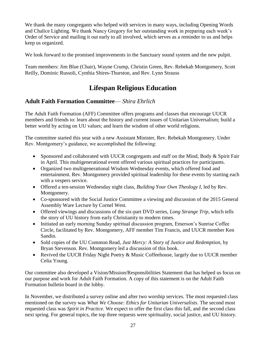We thank the many congregants who helped with services in many ways, including Opening Words and Chalice Lighting. We thank Nancy Gregory for her outstanding work in preparing each week's Order of Service and mailing it out early to all involved, which serves as a reminder to us and helps keep us organized.

We look forward to the promised improvements in the Sanctuary sound system and the new pulpit.

Team members: Jim Blue (Chair), Wayne Crump, Christin Green, Rev. Rebekah Montgomery, Scott Reilly, Dominic Russoli, Cynthia Shires-Thurston, and Rev. Lynn Strauss

# **Lifespan Religious Education**

#### **Adult Faith Formation Committee**— *Shira Ehrlich*

The Adult Faith Formation (AFF) Committee offers programs and classes that encourage UUCR members and friends to: learn about the history and current issues of Unitarian Universalism; build a better world by acting on UU values; and learn the wisdom of other world religions.

The committee started this year with a new Assistant Minister, Rev. Rebekah Montgomery. Under Rev. Montgomery's guidance, we accomplished the following:

- Sponsored and collaborated with UUCR congregants and staff on the Mind, Body & Spirit Fair in April. This multigenerational event offered various spiritual practices for participants.
- Organized two multigenerational Wisdom Wednesday events, which offered food and entertainment. Rev. Montgomery provided spiritual leadership for these events by starting each with a vespers service.
- Offered a ten-session Wednesday night class, *Building Your Own Theology I*, led by Rev. Montgomery.
- Co-sponsored with the Social Justice Committee a viewing and discussion of the 2015 General Assembly Ware Lecture by Cornel West.
- Offered viewings and discussions of the six-part DVD series, *Long Strange Trip*, which tells the story of UU history from early Christianity to modern times.
- Initiated an early morning Sunday spiritual discussion program, Emerson's Sunrise Coffee Circle, facilitated by Rev. Montgomery, AFF member Tim Francis, and UUCR member Ken Sandin.
- Sold copies of the UU Common Read, *Just Mercy: A Story of Justice and Redemption*, by Bryan Stevenson. Rev. Montgomery led a discussion of this book.
- Revived the UUCR Friday Night Poetry & Music Coffeehouse, largely due to UUCR member Celia Young.

Our committee also developed a Vision/Mission/Responsibilities Statement that has helped us focus on our purpose and work for Adult Faith Formation. A copy of this statement is on the Adult Faith Formation bulletin board in the lobby.

In November, we distributed a survey online and after two worship services. The most requested class mentioned on the survey was *What We Choose: Ethics for Unitarian Universalists*. The second most requested class was *Spirit in Practice*. We expect to offer the first class this fall, and the second class next spring. For general topics, the top three requests were spirituality, social justice, and UU history.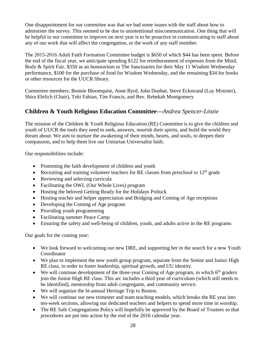One disappointment for our committee was that we had some issues with the staff about how to administer the survey. This seemed to be due to unintentional miscommunication. One thing that will be helpful to our committee to improve on next year is to be proactive in communicating to staff about any of our work that will affect the congregation, or the work of any staff member.

The 2015-2016 Adult Faith Formation Committee budget is \$650 of which \$44 has been spent. Before the end of the fiscal year, we anticipate spending \$122 for reimbursement of expenses from the Mind, Body & Spirit Fair, \$350 as an honorarium to The Sanctuaries for their May 11 Wisdom Wednesday performance, \$100 for the purchase of food for Wisdom Wednesday, and the remaining \$34 for books or other resources for the UUCR library.

Committee members: Bonnie Bloomquist, Anne Byrd, John Dunbar, Steve Eckstrand (Lay Minister), Shira Ehrlich (Chair), Teki Fabian, Tim Francis, and Rev. Rebekah Montgomery

#### **Children & Youth Religious Education Committee—***Andrea Spencer-Linzie*

The mission of the Children & Youth Religious Education (RE) Committee is to give the children and youth of UUCR the tools they need to seek, answers, nourish their spirits, and build the world they dream about. We aim to nurture the awakening of their minds, hearts, and souls, to deepen their compassion, and to help them live our Unitarian Universalist faith.

Our responsibilities include:

- Promoting the faith development of children and youth
- Recruiting and training volunteer teachers for RE classes from preschool to  $12<sup>th</sup>$  grade
- Reviewing and selecting curricula
- Facilitating the OWL (Our Whole Lives) program
- Hosting the beloved Getting Ready for the Holidays Potluck
- Hosting teacher and helper appreciation and Bridging and Coming of Age receptions
- Developing the Coming of Age program
- Providing youth programming
- Facilitating summer Peace Camp
- Ensuring the safety and well-being of children, youth, and adults active in the RE programs

Our goals for the coming year:

- We look forward to welcoming our new DRE, and supporting her in the search for a new Youth Coordinator
- We plan to implement the new youth group program, separate from the Senior and Junior High RE class, in order to foster leadership, spiritual growth, and UU identity.
- We will continue development of the three-year Coming of Age program, in which  $6<sup>th</sup>$  graders join the Junior High RE class. This arc includes a third year of curriculum (which still needs to be identified), mentorship from adult congregants, and community service.
- We will organize the bi-annual Heritage Trip to Boston.
- We will continue our new trimester and team teaching models, which breaks the RE year into ten-week sections, allowing our dedicated teachers and helpers to spend more time in worship.
- The RE Safe Congregations Policy will hopefully be approved by the Board of Trustees so that procedures are put into action by the end of the 2016 calendar year.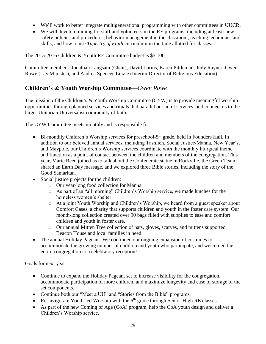- We'll work to better integrate multigenerational programming with other committees in UUCR.
- We will develop training for staff and volunteers in the RE programs, including at least: new safety policies and procedures, behavior management in the classroom, teaching techniques and skills, and how to use *Tapestry of Faith* curriculum in the time allotted for classes.

The 2015-2016 Children & Youth RE Committee budget is \$5,100.

Committee members: Jonathan Langsam (Chair), David Lorms, Karen Pittleman, Judy Rayner, Gwen Rowe (Lay Minister), and Andrea Spencer-Linzie (Interim Director of Religious Education)

#### **Children's & Youth Worship Committee**—*Gwen Rowe*

The mission of the Children's & Youth Worship Committee (CYW) is to provide meaningful worship opportunities through planned services and rituals that parallel our adult services, and connect us to the larger Unitarian Universalist community of faith.

The CYW Committee meets monthly and is responsible for:

- Bi-monthly Children's Worship services for preschool-5<sup>th</sup> grade, held in Founders Hall. In addition to our beloved annual services, including Tashlich, Social Justice/Manna, New Year's, and Maypole, our Children's Worship services coordinate with the monthly liturgical theme and function as a point of contact between the children and members of the congregation. This year, Marie Reed joined us to talk about the Confederate statue in Rockville, the Green Team shared an Earth Day message, and we explored three Bible stories, including the story of the Good Samaritan.
- Social justice projects for the children:
	- o Our year-long food collection for Manna.
	- o As part of an "all morning" Children's Worship service, we made lunches for the homeless women's shelter.
	- o At a joint Youth Worship and Children's Worship, we heard from a guest speaker about Comfort Cases, a charity that supports children and youth in the foster care system. Our month-long collection created over 90 bags filled with supplies to ease and comfort children and youth in foster care.
	- o Our annual Mitten Tree collection of hats, gloves, scarves, and mittens supported Beacon House and local families in need.
- The annual Holiday Pageant. We continued our ongoing expansion of costumes to accommodate the growing number of children and youth who participate, and welcomed the entire congregation to a celebratory reception!

Goals for next year:

- Continue to expand the Holiday Pageant set to increase visibility for the congregation, accommodate participation of more children, and maximize longevity and ease of storage of the set components.
- Continue both our "Meet a UU" and "Stories from the Bible" programs.
- Re-invigorate Youth-led Worship with the  $6<sup>th</sup>$  grade through Senior High RE classes.
- As part of the new Coming of Age (CoA) program, help the CoA youth design and deliver a Children's Worship service.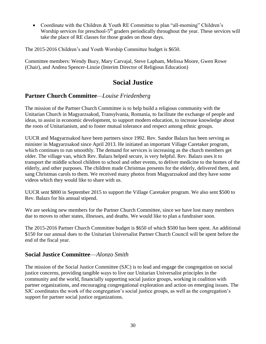• Coordinate with the Children & Youth RE Committee to plan "all-morning" Children's Worship services for preschool-5<sup>th</sup> graders periodically throughout the year. These services will take the place of RE classes for those grades on those days.

The 2015-2016 Children's and Youth Worship Committee budget is \$650.

Committee members: Wendy Buzy, Mary Carvajal, Steve Lapham, Melissa Moore, Gwen Rowe (Chair), and Andrea Spencer-Linzie (Interim Director of Religious Education)

# **Social Justice**

#### **Partner Church Committee***—Louise Friedenberg*

The mission of the Partner Church Committee is to help build a religious community with the Unitarian Church in Magyarzsakod, Transylvania, Romania, to facilitate the exchange of people and ideas, to assist in economic development, to support modern education, to increase knowledge about the roots of Unitarianism, and to foster mutual tolerance and respect among ethnic groups.

UUCR and Magyarzsakod have been partners since 1992. Rev. Sandor Balazs has been serving as minister in Magyarzsakod since April 2013. He initiated an important Village Caretaker program, which continues to run smoothly. The demand for services is increasing as the church members get older. The village van, which Rev. Balazs helped secure, is very helpful. Rev. Balazs uses it to transport the middle school children to school and other events, to deliver medicine to the homes of the elderly, and other purposes. The children made Christmas presents for the elderly, delivered them, and sang Christmas carols to them. We received many photos from Magyarzsakod and they have some videos which they would like to share with us.

UUCR sent \$800 in September 2015 to support the Village Caretaker program. We also sent \$500 to Rev. Balazs for his annual stipend.

We are seeking new members for the Partner Church Committee, since we have lost many members due to moves to other states, illnesses, and deaths. We would like to plan a fundraiser soon.

The 2015-2016 Partner Church Committee budget is \$650 of which \$500 has been spent. An additional \$150 for our annual dues to the Unitarian Universalist Partner Church Council will be spent before the end of the fiscal year.

#### **Social Justice Committee**—*Alonzo Smith*

The mission of the Social Justice Committee (SJC) is to lead and engage the congregation on social justice concerns, providing tangible ways to live our Unitarian Universalist principles in the community and the world, financially supporting social justice groups, working in coalition with partner organizations, and encouraging congregational exploration and action on emerging issues. The SJC coordinates the work of the congregation's social justice groups, as well as the congregation's support for partner social justice organizations.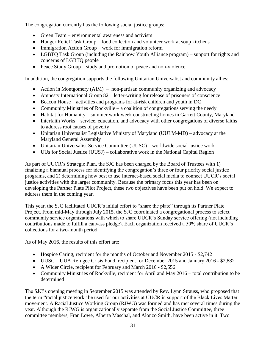The congregation currently has the following social justice groups:

- Green Team environmental awareness and activism
- Hunger Relief Task Group food collection and volunteer work at soup kitchens
- Immigration Action Group work for immigration reform
- LGBTQ Task Group (including the Rainbow Youth Alliance program) support for rights and concerns of LGBTQ people
- Peace Study Group study and promotion of peace and non-violence

In addition, the congregation supports the following Unitarian Universalist and community allies:

- Action in Montgomery (AIM) non-partisan community organizing and advocacy
- Amnesty International Group 82 letter-writing for release of prisoners of conscience
- Beacon House activities and programs for at-risk children and youth in DC
- Community Ministries of Rockville a coalition of congregations serving the needy
- Habitat for Humanity summer work week constructing homes in Garrett County, Maryland
- Interfaith Works service, education, and advocacy with other congregations of diverse faiths to address root causes of poverty
- Unitarian Universalist Legislative Ministry of Maryland (UULM-MD) advocacy at the Maryland General Assembly
- Unitarian Universalist Service Committee (UUSC) worldwide social justice work
- UUs for Social Justice (UUSJ) collaborative work in the National Capital Region

As part of UUCR's Strategic Plan, the SJC has been charged by the Board of Trustees with 1) finalizing a biannual process for identifying the congregation's three or four priority social justice programs, and 2) determining how best to use Internet-based social media to connect UUCR's social justice activities with the larger community. Because the primary focus this year has been on developing the Partner Plate Pilot Project, these two objectives have been put on hold. We expect to address them in the coming year.

This year, the SJC facilitated UUCR's initial effort to "share the plate" through its Partner Plate Project. From mid-May through July 2015, the SJC coordinated a congregational process to select community service organizations with which to share UUCR's Sunday service offering (not including contributions made to fulfill a canvass pledge). Each organization received a 50% share of UUCR's collections for a two-month period.

As of May 2016, the results of this effort are:

- Hospice Caring, recipient for the months of October and November 2015 \$2,742
- UUSC UUA Refugee Crisis Fund, recipient for December 2015 and January 2016 \$2,882
- A Wider Circle, recipient for February and March 2016 \$2,556
- Community Ministries of Rockville, recipient for April and May 2016 total contribution to be determined

The SJC's opening meeting in September 2015 was attended by Rev. Lynn Strauss, who proposed that the term "racial justice work" be used for our activities at UUCR in support of the Black Lives Matter movement. A Racial Justice Working Group (RJWG) was formed and has met several times during the year. Although the RJWG is organizationally separate from the Social Justice Committee, three committee members, Fran Lowe, Alberta Maschal, and Alonzo Smith, have been active in it. Two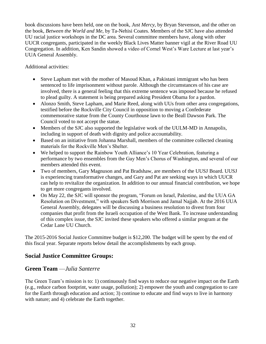book discussions have been held, one on the book, *Just Mercy*, by Bryan Stevenson, and the other on the book, *Between the World and Me*, by Ta-Nehisi Coates. Members of the SJC have also attended UU racial justice workshops in the DC area. Several committee members have, along with other UUCR congregants, participated in the weekly Black Lives Matter banner vigil at the River Road UU Congregation. In addition, Ken Sandin showed a video of Cornel West's Ware Lecture at last year's UUA General Assembly.

Additional activities:

- Steve Lapham met with the mother of Masoud Khan, a Pakistani immigrant who has been sentenced to life imprisonment without parole. Although the circumstances of his case are involved, there is a general feeling that this extreme sentence was imposed because he refused to plead guilty. A statement is being prepared asking President Obama for a pardon.
- Alonzo Smith, Steve Lapham, and Marie Reed, along with UUs from other area congregations, testified before the Rockville City Council in opposition to moving a Confederate commemorative statue from the County Courthouse lawn to the Beall Dawson Park. The Council voted to not accept the statue.
- Members of the SJC also supported the legislative work of the UULM-MD in Annapolis, including in support of death with dignity and police accountability.
- Based on an initiative from Johanna Marshall, members of the committee collected cleaning materials for the Rockville Men's Shelter.
- We helped to support the Rainbow Youth Alliance's 10 Year Celebration, featuring a performance by two ensembles from the Gay Men's Chorus of Washington, and several of our members attended this event.
- Two of members, Gary Magnuson and Pat Bradshaw, are members of the UUSJ Board. UUSJ is experiencing transformative changes, and Gary and Pat are seeking ways in which UUCR can help to revitalize the organization. In addition to our annual financial contribution, we hope to get more congregants involved.
- On May 22, the SJC will sponsor the program, "Forum on Israel, Palestine, and the UUA GA Resolution on Divestment," with speakers Seth Morrison and Jamal Najjab. At the 2016 UUA General Assembly, delegates will be discussing a business resolution to divest from four companies that profit from the Israeli occupation of the West Bank. To increase understanding of this complex issue, the SJC invited these speakers who offered a similar program at the Cedar Lane UU Church.

The 2015-2016 Social Justice Committee budget is \$12,200. The budget will be spent by the end of this fiscal year. Separate reports below detail the accomplishments by each group.

#### **Social Justice Committee Groups:**

#### **Green Team** —*Julia Santerre*

The Green Team's mission is to: 1) continuously find ways to reduce our negative impact on the Earth (e.g., reduce carbon footprint, water usage, pollution); 2) empower the youth and congregation to care for the Earth through education and action; 3) continue to educate and find ways to live in harmony with nature; and 4) celebrate the Earth together.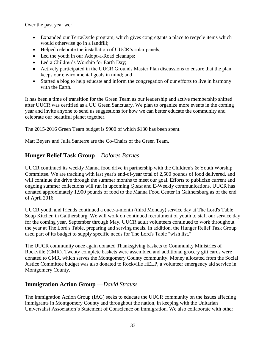Over the past year we:

- Expanded our TerraCycle program, which gives congregants a place to recycle items which would otherwise go in a landfill;
- Helped celebrate the installation of UUCR's solar panels;
- Led the youth in our Adopt-a-Road cleanups;
- Led a Children's Worship for Earth Day;
- Actively participated in the UUCR Grounds Master Plan discussions to ensure that the plan keeps our environmental goals in mind; and
- Started a blog to help educate and inform the congregation of our efforts to live in harmony with the Earth.

It has been a time of transition for the Green Team as our leadership and active membership shifted after UUCR was certified as a UU Green Sanctuary. We plan to organize more events in the coming year and invite anyone to send us suggestions for how we can better educate the community and celebrate our beautiful planet together.

The 2015-2016 Green Team budget is \$900 of which \$130 has been spent.

Matt Beyers and Julia Santerre are the Co-Chairs of the Green Team.

#### **Hunger Relief Task Group—***Dolores Barnes*

UUCR continued its weekly Manna food drive in partnership with the Children's & Youth Worship Committee. We are tracking with last year's end-of-year total of 2,500 pounds of food delivered, and will continue the drive through the summer months to meet our goal. Efforts to publicize current and ongoing summer collections will run in upcoming *Quest* and E-Weekly communications. UUCR has donated approximately 1,900 pounds of food to the Manna Food Center in Gaithersburg as of the end of April 2016.

UUCR youth and friends continued a once-a-month (third Monday) service day at The Lord's Table Soup Kitchen in Gaithersburg. We will work on continued recruitment of youth to staff our service day for the coming year, September through May. UUCR adult volunteers continued to work throughout the year at The Lord's Table, preparing and serving meals. In addition, the Hunger Relief Task Group used part of its budget to supply specific needs for The Lord's Table "wish list."

The UUCR community once again donated Thanksgiving baskets to Community Ministries of Rockville (CMR). Twenty complete baskets were assembled and additional grocery gift cards were donated to CMR, which serves the Montgomery County community. Money allocated from the Social Justice Committee budget was also donated to Rockville HELP, a volunteer emergency aid service in Montgomery County.

#### **Immigration Action Group** —*David Strauss*

The Immigration Action Group (IAG) seeks to educate the UUCR community on the issues affecting immigrants in Montgomery County and throughout the nation, in keeping with the Unitarian Universalist Association's Statement of Conscience on immigration. We also collaborate with other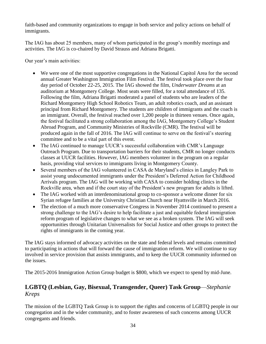faith-based and community organizations to engage in both service and policy actions on behalf of immigrants.

The IAG has about 25 members, many of whom participated in the group's monthly meetings and activities. The IAG is co-chaired by David Strauss and Adriana Brigatti.

Our year's main activities:

- We were one of the most supportive congregations in the National Capitol Area for the second annual Greater Washington Immigration Film Festival. The festival took place over the four day period of October 22-25, 2015. The IAG showed the film, *Underwater Dreams* at an auditorium at Montgomery College. Most seats were filled, for a total attendance of 135. Following the film, Adriana Brigatti moderated a panel of students who are leaders of the Richard Montgomery High School Robotics Team, an adult robotics coach, and an assistant principal from Richard Montgomery. The students are children of immigrants and the coach is an immigrant. Overall, the festival reached over 1,200 people in thirteen venues. Once again, the festival facilitated a strong collaboration among the IAG, Montgomery College's Student Abroad Program, and Community Ministries of Rockville (CMR). The festival will be produced again in the fall of 2016. The IAG will continue to serve on the festival's steering committee and to be a vital part of this event.
- The IAG continued to manage UUCR's successful collaboration with CMR's Language Outreach Program. Due to transportation barriers for their students, CMR no longer conducts classes at UUCR facilities. However, IAG members volunteer in the program on a regular basis, providing vital services to immigrants living in Montgomery County.
- Several members of the IAG volunteered in CASA de Maryland's clinics in Langley Park to assist young undocumented immigrants under the President's Deferred Action for Childhood Arrivals program. The IAG will be working with CASA to consider holding clinics in the Rockville area, when and if the court stay of the President's new program for adults is lifted.
- The IAG worked with an interdenominational group to co-sponsor a welcome dinner for six Syrian refugee families at the University Christian Church near Hyattsville in March 2016.
- The election of a much more conservative Congress in November 2014 continued to present a strong challenge to the IAG's desire to help facilitate a just and equitable federal immigration reform program of legislative changes to what we see as a broken system. The IAG will seek opportunities through Unitarian Universalists for Social Justice and other groups to protect the rights of immigrants in the coming year.

The IAG stays informed of advocacy activities on the state and federal levels and remains committed to participating in actions that will forward the cause of immigration reform. We will continue to stay involved in service provision that assists immigrants, and to keep the UUCR community informed on the issues.

The 2015-2016 Immigration Action Group budget is \$800, which we expect to spend by mid-June.

# **LGBTQ (Lesbian, Gay, Bisexual, Transgender, Queer) Task Group**—*Stephanie Kreps*

The mission of the LGBTQ Task Group is to support the rights and concerns of LGBTQ people in our congregation and in the wider community, and to foster awareness of such concerns among UUCR congregants and friends.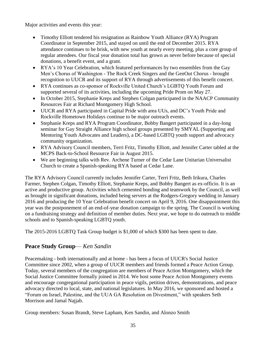Major activities and events this year:

- Timothy Elliott tendered his resignation as Rainbow Youth Alliance (RYA) Program Coordinator in September 2015, and stayed on until the end of December 2015. RYA attendance continues to be brisk, with new youth at nearly every meeting, plus a core group of regular attendees. Our fiscal year donation total has grown as never before because of special donations, a benefit event, and a grant.
- RYA's 10 Year Celebration, which featured performances by two ensembles from the Gay Men's Chorus of Washington - The Rock Creek Singers and the GenOut Chorus - brought recognition to UUCR and its support of RYA through advertisements of this benefit concert.
- RYA continues as co-sponsor of Rockville United Church's LGBTQ Youth Forum and supported several of its activities, including the upcoming Pride Prom on May 27.
- In October 2015, Stephanie Kreps and Stephen Colgan participated in the NAACP Community Resources Fair at Richard Montgomery High School.
- UUCR and RYA participated in Capital Pride with area UUs, and DC's Youth Pride and Rockville Hometown Holidays continue to be major outreach events.
- Stephanie Kreps and RYA Program Coordinator, Bobby Bangert participated in a day-long seminar for Gay Straight Alliance high school groups presented by SMYAL (Supporting and Mentoring Youth Advocates and Leaders), a DC-based LGBTQ youth support and advocacy community organization.
- RYA Advisory Council members, Terri Fritz, Timothy Elliott, and Jennifer Carter tabled at the MCPS Back-to-School Resource Fair in August 2015.
- We are beginning talks with Rev. Archene Turner of the Cedar Lane Unitarian Universalist Church to create a Spanish-speaking RYA based at Cedar Lane.

The RYA Advisory Council currently includes Jennifer Carter, Terri Fritz, Beth Irikura, Charles Farmer, Stephen Colgan, Timothy Elliott, Stephanie Kreps, and Bobby Bangert as ex-officio. It is an active and productive group. Activities which cemented bonding and teamwork by the Council, as well as brought in significant donations, included being servers at the Rodgers-Gregory wedding in January 2016 and producing the 10 Year Celebration benefit concert on April 9, 2016. One disappointment this year was the postponement of an end-of-year donation campaign to the spring. The Council is working on a fundraising strategy and definition of member duties. Next year, we hope to do outreach to middle schools and to Spanish-speaking LGBTQ youth.

The 2015-2016 LGBTQ Task Group budget is \$1,000 of which \$300 has been spent to date.

# **Peace Study Group**— *Ken Sandin*

Peacemaking - both internationally and at home - has been a focus of UUCR's Social Justice Committee since 2002, when a group of UUCR members and friends formed a Peace Action Group. Today, several members of the congregation are members of Peace Action Montgomery, which the Social Justice Committee formally joined in 2014. We host some Peace Action Montgomery events and encourage congregational participation in peace vigils, petition drives, demonstrations, and peace advocacy directed to local, state, and national legislatures. In May 2016, we sponsored and hosted a "Forum on Israel, Palestine, and the UUA GA Resolution on Divestment," with speakers Seth Morrison and Jamal Najjab.

Group members: Susan Brandt, Steve Lapham, Ken Sandin, and Alonzo Smith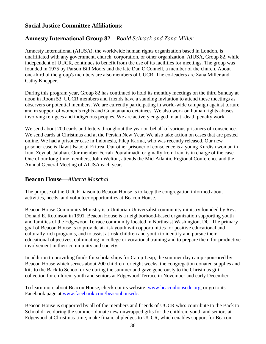#### **Social Justice Committee Affiliations:**

#### **Amnesty International Group 82—***Roald Schrack and Zana Miller*

Amnesty International (AIUSA), the worldwide human rights organization based in London, is unaffiliated with any government, church, corporation, or other organization. AIUSA, Group 82, while independent of UUCR, continues to benefit from the use of its facilities for meetings. The group was founded in 1975 by Parson Bill Moors and the late Dan O'Connell, a member of the church. About one-third of the group's members are also members of UUCR. The co-leaders are Zana Miller and Cathy Knepper.

During this program year, Group 82 has continued to hold its monthly meetings on the third Sunday at noon in Room 53. UUCR members and friends have a standing invitation to attend these meetings as observers or potential members. We are currently participating in world-wide campaign against torture and in support of women's rights and Guantanamo detainees. We also work on human rights abuses involving refugees and indigenous peoples. We are actively engaged in anti-death penalty work.

We send about 200 cards and letters throughout the year on behalf of various prisoners of conscience. We send cards at Christmas and at the Persian New Year. We also take action on cases that are posted online. We had a prisoner case in Indonesia, Filep Karma, who was recently released. Our new prisoner case is Dawit Isaac of Eritrea. Our other prisoner of conscience is a young Kurdish woman in Iran, Zeynab Jalalian. Our member Ferrah Pourahmadi, originally from Iran, is in charge of the case. One of our long-time members, John Welton, attends the Mid-Atlantic Regional Conference and the Annual General Meeting of AIUSA each year.

#### **Beacon House**—*Alberta Maschal*

The purpose of the UUCR liaison to Beacon House is to keep the congregation informed about activities, needs, and volunteer opportunities at Beacon House.

Beacon House Community Ministry is a Unitarian Universalist community ministry founded by Rev. Donald E. Robinson in 1991. Beacon House is a neighborhood-based organization supporting youth and families of the Edgewood Terrace community located in Northeast Washington, DC. The primary goal of Beacon House is to provide at-risk youth with opportunities for positive educational and culturally-rich programs, and to assist at-risk children and youth to identify and pursue their educational objectives, culminating in college or vocational training and to prepare them for productive involvement in their community and society.

In addition to providing funds for scholarships for Camp Leap, the summer day camp sponsored by Beacon House which serves about 200 children for eight weeks, the congregation donated supplies and kits to the Back to School drive during the summer and gave generously to the Christmas gift collection for children, youth and seniors at Edgewood Terrace in November and early December.

To learn more about Beacon House, check out its website: [www.beaconhousedc.org,](http://www.beaconhousedc.org/) or go to its Facebook page at [www.facebook.com/beaconhousedc.](http://www.facebook.com/beaconhousedc)

Beacon House is supported by all of the members and friends of UUCR who: contribute to the Back to School drive during the summer; donate new unwrapped gifts for the children, youth and seniors at Edgewood at Christmas-time; make financial pledges to UUCR, which enables support for Beacon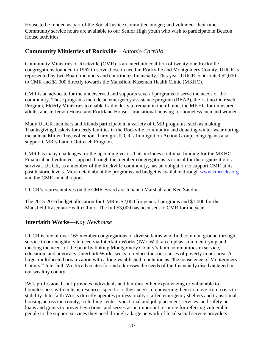House to be funded as part of the Social Justice Committee budget; and volunteer their time. Community service hours are available to our Senior High youth who wish to participate in Beacon House activities.

#### **Community Ministries of Rockville—***Antonio Carrillo*

Community Ministries of Rockville (CMR) is an interfaith coalition of twenty-one Rockville congregations founded in 1967 to serve those in need in Rockville and Montgomery County. UUCR is represented by two Board members and contributes financially. This year, UUCR contributed \$2,000 to CMR and \$1,000 directly towards the Mansfield Kaseman Health Clinic (MKHC).

CMR is an advocate for the underserved and supports several programs to serve the needs of the community. These programs include an emergency assistance program (REAP), the Latino Outreach Program, Elderly Ministries to enable frail elderly to remain in their home, the MKHC for uninsured adults, and Jefferson House and Rockland House – transitional housing for homeless men and women.

Many UUCR members and friends participate in a variety of CMR programs, such as making Thanksgiving baskets for needy families in the Rockville community and donating winter wear during the annual Mitten Tree collection. Through UUCR's Immigration Action Group, congregants also support CMR's Latino Outreach Program.

CMR has many challenges for the upcoming years. This includes continual funding for the MKHC. Financial and volunteer support through the member congregations is crucial for the organization's survival. UUCR, as a member of the Rockville community, has an obligation to support CMR at its past historic levels. More detail about the programs and budget is available through [www.cmrocks.org](http://www.cmrocks.org/) and the CMR annual report.

UUCR's representatives on the CMR Board are Johanna Marshall and Ken Sandin.

The 2015-2016 budget allocation for CMR is \$2,000 for general programs and \$1,000 for the Mansfield Kaseman Health Clinic. The full \$3,000 has been sent to CMR for the year.

#### **Interfaith Works—***Kay Newhouse*

UUCR is one of over 165 member congregations of diverse faiths who find common ground through service to our neighbors in need via Interfaith Works (IW). With an emphasis on identifying and meeting the needs of the poor by linking Montgomery County's faith communities in service, education, and advocacy, Interfaith Works seeks to reduce the root causes of poverty in our area. A large, multifaceted organization with a long-established reputation as "the conscience of Montgomery County," Interfaith Works advocates for and addresses the needs of the financially disadvantaged in our wealthy county.

IW's professional staff provides individuals and families either experiencing or vulnerable to homelessness with holistic resources specific to their needs, empowering them to move from crisis to stability. Interfaith Works directly operates professionally-staffed emergency shelters and transitional housing across the county, a clothing center, vocational and job placement services, and safety net loans and grants to prevent evictions, and serves as an important resource for referring vulnerable people to the support services they need through a large network of local social service providers.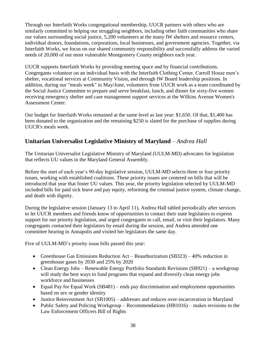Through our Interfaith Works congregational membership, UUCR partners with others who are similarly committed to helping our struggling neighbors, including other faith communities who share our values surrounding social justice, 5,200 volunteers at the many IW shelters and resource centers, individual donors, foundations, corporations, local businesses, and government agencies. Together, via Interfaith Works, we focus on our shared community responsibility and successfully address the varied needs of 20,000 of our most vulnerable Montgomery County neighbors each year.

UUCR supports Interfaith Works by providing meeting space and by financial contributions. Congregants volunteer on an individual basis with the Interfaith Clothing Center, Carroll House men's shelter, vocational services at Community Vision, and through IW Board leadership positions. In addition, during our "meals week" in May/June, volunteers from UUCR work as a team coordinated by the Social Justice Committee to prepare and serve breakfast, lunch, and dinner for sixty-five women receiving emergency shelter and case management support services at the Wilkins Avenue Women's Assessment Center.

Our budget for Interfaith Works remained at the same level as last year: \$1,650. Of that, \$1,400 has been donated to the organization and the remaining \$250 is slated for the purchase of supplies during UUCR's meals week.

## **Unitarian Universalist Legislative Ministry of Maryland** *– Andrea Hall*

The Unitarian Universalist Legislative Ministry of Maryland (UULM-MD) advocates for legislation that reflects UU values in the Maryland General Assembly.

Before the start of each year's 90-day legislative session, UULM-MD selects three or four priority issues, working with established coalitions. These priority issues are centered on bills that will be introduced that year that foster UU values. This year, the priority legislation selected by UULM-MD included bills for paid sick leave and pay equity, reforming the criminal justice system, climate change, and death with dignity.

During the legislative session (January 13 to April 11), Andrea Hall tabled periodically after services to let UUCR members and friends know of opportunities to contact their state legislators to express support for our priority legislation, and urged congregants to call, email, or visit their legislators. Many congregants contacted their legislators by email during the session, and Andrea attended one committee hearing in Annapolis and visited her legislators the same day.

Five of UULM-MD's priority issue bills passed this year:

- Greenhouse Gas Emissions Reduction Act Reauthorization (SB323) 40% reduction in greenhouse gases by 2030 and 25% by 2020
- Clean Energy Jobs Renewable Energy Portfolio Standards Revisions (SB921) a workgroup will study the best ways to fund programs that expand and diversify clean energy jobs workforce and businesses
- Equal Pay for Equal Work (SB481) ends pay discrimination and employment opportunities based on sex or gender identity
- Justice Reinvestment Act (SB1005) addresses and reduces over-incarceration in Maryland
- Public Safety and Policing Workgroup Recommendations (HB1016) makes revisions to the Law Enforcement Officers Bill of Rights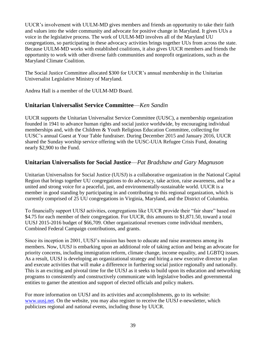UUCR's involvement with UULM-MD gives members and friends an opportunity to take their faith and values into the wider community and advocate for positive change in Maryland. It gives UUs a voice in the legislative process. The work of UULM-MD involves all of the Maryland UU congregations, so participating in these advocacy activities brings together UUs from across the state. Because UULM-MD works with established coalitions, it also gives UUCR members and friends the opportunity to work with other diverse faith communities and nonprofit organizations, such as the Maryland Climate Coalition.

The Social Justice Committee allocated \$300 for UUCR's annual membership in the Unitarian Universalist Legislative Ministry of Maryland.

Andrea Hall is a member of the UULM-MD Board.

#### **Unitarian Universalist Service Committee**—*Ken Sandin*

UUCR supports the Unitarian Universalist Service Committee (UUSC), a membership organization founded in 1941 to advance human rights and social justice worldwide, by encouraging individual memberships and, with the Children & Youth Religious Education Committee, collecting for UUSC's annual Guest at Your Table fundraiser. During December 2015 and January 2016, UUCR shared the Sunday worship service offering with the UUSC-UUA Refugee Crisis Fund, donating nearly \$2,900 to the Fund.

#### **Unitarian Universalists for Social Justice**—*Pat Bradshaw and Gary Magnuson*

Unitarian Universalists for Social Justice (UUSJ) is a collaborative organization in the National Capital Region that brings together UU congregations to do advocacy, take action, raise awareness, and be a united and strong voice for a peaceful, just, and environmentally-sustainable world. UUCR is a member in good standing by participating in and contributing to this regional organization, which is currently comprised of 25 UU congregations in Virginia, Maryland, and the District of Columbia.

To financially support UUSJ activities, congregations like UUCR provide their "fair share" based on \$4.75 for each member of their congregation. For UUCR, this amounts to \$1,871.50, toward a total UUSJ 2015-2016 budget of \$66,709. Other organizational revenues come individual members, Combined Federal Campaign contributions, and grants.

Since its inception in 2001, UUSJ's mission has been to educate and raise awareness among its members. Now, UUSJ is embarking upon an additional role of taking action and being an advocate for priority concerns, including immigration reform, climate change, income equality, and LGBTQ issues. As a result, UUSJ is developing an organizational strategy and hiring a new executive director to plan and execute activities that will make a difference in furthering social justice regionally and nationally. This is an exciting and pivotal time for the UUSJ as it seeks to build upon its education and networking programs to consistently and constructively communicate with legislative bodies and governmental entities to garner the attention and support of elected officials and policy makers.

For more information on UUSJ and its activities and accomplishments, go to its website: [www.uusj.net.](http://www.uusj.net/) On the website, you may also register to receive the UUSJ e-newsletter, which publicizes regional and national events, including those by UUCR.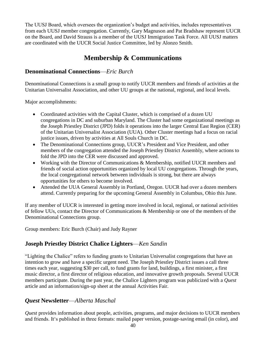The UUSJ Board, which oversees the organization's budget and activities, includes representatives from each UUSJ member congregation. Currently, Gary Magnuson and Pat Bradshaw represent UUCR on the Board, and David Strauss is a member of the UUSJ Immigration Task Force. All UUSJ matters are coordinated with the UUCR Social Justice Committee, led by Alonzo Smith.

# **Membership & Communications**

#### **Denominational Connections**—*Eric Burch*

Denominational Connections is a small group to notify UUCR members and friends of activities at the Unitarian Universalist Association, and other UU groups at the national, regional, and local levels.

Major accomplishments:

- Coordinated activities with the Capital Cluster, which is comprised of a dozen UU congregations in DC and suburban Maryland. The Cluster had some organizational meetings as the Joseph Priestley District (JPD) folds it operations into the larger Central East Region (CER) of the Unitarian Universalist Association (UUA). Other Cluster meetings had a focus on racial justice issues, driven by activities at All Souls Church in DC.
- The Denominational Connections group, UUCR's President and Vice President, and other members of the congregation attended the Joseph Priestley District Assembly, where actions to fold the JPD into the CER were discussed and approved.
- Working with the Director of Communications & Membership, notified UUCR members and friends of social action opportunities organized by local UU congregations. Through the years, the local congregational network between individuals is strong, but there are always opportunities for others to become involved.
- Attended the UUA General Assembly in Portland, Oregon. UUCR had over a dozen members attend. Currently preparing for the upcoming General Assembly in Columbus, Ohio this June.

If any member of UUCR is interested in getting more involved in local, regional, or national activities of fellow UUs, contact the Director of Communications & Membership or one of the members of the Denominational Connections group.

Group members: Eric Burch (Chair) and Judy Rayner

#### **Joseph Priestley District Chalice Lighters**—*Ken Sandin*

"Lighting the Chalice" refers to funding grants to Unitarian Universalist congregations that have an intention to grow and have a specific urgent need. The Joseph Priestley District issues a call three times each year, suggesting \$30 per call, to fund grants for land, buildings, a first minister, a first music director, a first director of religious education, and innovative growth proposals. Several UUCR members participate. During the past year, the Chalice Lighters program was publicized with a *Quest* article and an information/sign-up sheet at the annual Activities Fair.

#### *Quest* **Newsletter**—*Alberta Maschal*

*Quest* provides information about people, activities, programs, and major decisions to UUCR members and friends. It's published in three formats: mailed paper version, postage-saving email (in color), and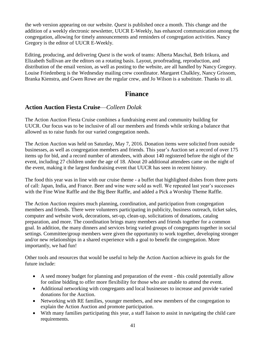the web version appearing on our website. *Quest* is published once a month. This change and the addition of a weekly electronic newsletter, UUCR E-Weekly, has enhanced communication among the congregation, allowing for timely announcements and reminders of congregation activities. Nancy Gregory is the editor of UUCR E-Weekly.

Editing, producing, and delivering *Quest* is the work of teams: Alberta Maschal, Beth Irikura, and Elizabeth Sullivan are the editors on a rotating basis. Layout, proofreading, reproduction, and distribution of the email version, as well as posting to the website, are all handled by Nancy Gregory. Louise Friedenberg is the Wednesday mailing crew coordinator. Margaret Chalkley, Nancy Grissom, Branka Kienstra, and Gwen Rowe are the regular crew, and Jo Wilson is a substitute. Thanks to all.

# **Finance**

#### **Action Auction Fiesta Cruise**—*Colleen Dolak*

The Action Auction Fiesta Cruise combines a fundraising event and community building for UUCR. Our focus was to be inclusive of all our members and friends while striking a balance that allowed us to raise funds for our varied congregation needs.

The Action Auction was held on Saturday, May 7, 2016. Donation items were solicited from outside businesses, as well as congregation members and friends. This year's Auction set a record of over 175 items up for bid, and a record number of attendees, with about 140 registered before the night of the event, including 27 children under the age of 18. About 20 additional attendees came on the night of the event, making it the largest fundraising event that UUCR has seen in recent history.

The food this year was in line with our cruise theme - a buffet that highlighted dishes from three ports of call: Japan, India, and France. Beer and wine were sold as well. We repeated last year's successes with the Fine Wine Raffle and the Big Beer Raffle, and added a Pick a Worship Theme Raffle.

The Action Auction requires much planning, coordination, and participation from congregation members and friends. There were volunteers participating in publicity, business outreach, ticket sales, computer and website work, decorations, set-up, clean-up, solicitations of donations, catalog preparation, and more. The coordination brings many members and friends together for a common goal. In addition, the many dinners and services bring varied groups of congregants together in social settings. Committee/group members were given the opportunity to work together, developing stronger and/or new relationships in a shared experience with a goal to benefit the congregation. More importantly, we had fun!

Other tools and resources that would be useful to help the Action Auction achieve its goals for the future include:

- A seed money budget for planning and preparation of the event this could potentially allow for online bidding to offer more flexibility for those who are unable to attend the event.
- Additional networking with congregants and local businesses to increase and provide varied donations for the Auction.
- Networking with RE families, younger members, and new members of the congregation to explain the Action Auction and promote participation.
- With many families participating this year, a staff liaison to assist in navigating the child care requirements.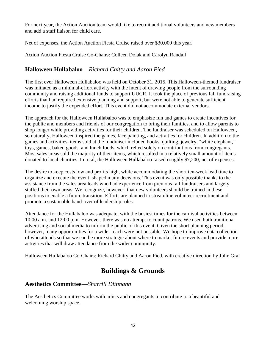For next year, the Action Auction team would like to recruit additional volunteers and new members and add a staff liaison for child care.

Net of expenses, the Action Auction Fiesta Cruise raised over \$30,000 this year.

Action Auction Fiesta Cruise Co-Chairs: Colleen Dolak and Carolyn Randall

#### **Halloween Hullabaloo**—*Richard Chitty and Aaron Pied*

The first ever Halloween Hullabaloo was held on October 31, 2015. This Halloween-themed fundraiser was initiated as a minimal-effort activity with the intent of drawing people from the surrounding community and raising additional funds to support UUCR. It took the place of previous fall fundraising efforts that had required extensive planning and support, but were not able to generate sufficient income to justify the expended effort. This event did not accommodate external vendors.

The approach for the Halloween Hullabaloo was to emphasize fun and games to create incentives for the public and members and friends of our congregation to bring their families, and to allow parents to shop longer while providing activities for their children. The fundraiser was scheduled on Halloween, so naturally, Halloween inspired the games, face painting, and activities for children. In addition to the games and activities, items sold at the fundraiser included books, quilting, jewelry, "white elephant," toys, games, baked goods, and lunch foods, which relied solely on contributions from congregants. Most sales areas sold the majority of their items, which resulted in a relatively small amount of items donated to local charities. In total, the Halloween Hullabaloo raised roughly \$7,200, net of expenses.

The desire to keep costs low and profits high, while accommodating the short ten-week lead time to organize and execute the event, shaped many decisions. This event was only possible thanks to the assistance from the sales area leads who had experience from previous fall fundraisers and largely staffed their own areas. We recognize, however, that new volunteers should be trained in these positions to enable a future transition. Efforts are planned to streamline volunteer recruitment and promote a sustainable hand-over of leadership roles.

Attendance for the Hullabaloo was adequate, with the busiest times for the carnival activities between 10:00 a.m. and 12:00 p.m. However, there was no attempt to count patrons. We used both traditional advertising and social media to inform the public of this event. Given the short planning period, however, many opportunities for a wider reach were not possible. We hope to improve data collection of who attends so that we can be more strategic about where to market future events and provide more activities that will draw attendance from the wider community.

Halloween Hullabaloo Co-Chairs: Richard Chitty and Aaron Pied, with creative direction by Julie Graf

# **Buildings & Grounds**

#### **Aesthetics Committee**—*Sharrill Dittmann*

The Aesthetics Committee works with artists and congregants to contribute to a beautiful and welcoming worship space.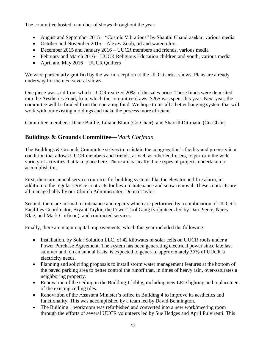The committee hosted a number of shows throughout the year:

- August and September 2015 "Cosmic Vibrations" by Shanthi Chandrasekar, various media
- October and November 2015 Alexey Zoob, oil and watercolors
- December 2015 and January 2016 UUCR members and friends, various media
- February and March 2016 UUCR Religious Education children and youth, various media
- April and May 2016 UUCR Quilters

We were particularly gratified by the warm reception to the UUCR-artist shows. Plans are already underway for the next several shows.

One piece was sold from which UUCR realized 20% of the sales price. These funds were deposited into the Aesthetics Fund, from which the committee draws. \$265 was spent this year. Next year, the committee will be funded from the operating fund. We hope to install a better hanging system that will work with our existing moldings and make the process more efficient.

Committee members: Diane Baillie, Liliane Blom (Co-Chair), and Sharrill Dittmann (Co-Chair)

## **Buildings & Grounds Committee**—*Mark Corfman*

The Buildings & Grounds Committee strives to maintain the congregation's facility and property in a condition that allows UUCR members and friends, as well as other end-users, to perform the wide variety of activities that take place here. There are basically three types of projects undertaken to accomplish this.

First, there are annual service contracts for building systems like the elevator and fire alarm, in addition to the regular service contracts for lawn maintenance and snow removal. These contracts are all managed ably by our Church Administrator, Donna Taylor.

Second, there are normal maintenance and repairs which are performed by a combination of UUCR's Facilities Coordinator, Bryant Taylor, the Power Tool Gang (volunteers led by Dan Pierce, Narcy Klag, and Mark Corfman), and contracted services.

Finally, there are major capital improvements, which this year included the following:

- Installation, by Solar Solution LLC, of 42 kilowatts of solar cells on UUCR roofs under a Power Purchase Agreement. The system has been generating electrical power since late last summer and, on an annual basis, is expected to generate approximately 35% of UUCR's electricity needs.
- Planning and soliciting proposals to install storm water management features at the bottom of the paved parking area to better control the runoff that, in times of heavy rain, over-saturates a neighboring property.
- Renovation of the ceiling in the Building 1 lobby, including new LED lighting and replacement of the existing ceiling tiles.
- Renovation of the Assistant Minister's office in Building 4 to improve its aesthetics and functionality. This was accomplished by a team led by David Bennington.
- The Building 1 workroom was refurbished and converted into a new work/meeting room through the efforts of several UUCR volunteers led by Sue Hedges and April Pulvirenti. This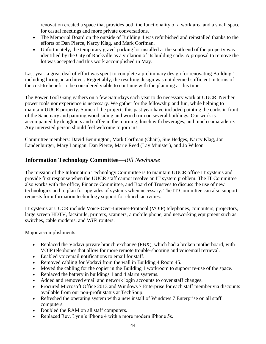renovation created a space that provides both the functionality of a work area and a small space for casual meetings and more private conversations.

- The Memorial Board on the outside of Building 4 was refurbished and reinstalled thanks to the efforts of Dan Pierce, Narcy Klag, and Mark Corfman.
- Unfortunately, the temporary gravel parking lot installed at the south end of the property was identified by the City of Rockville as a violation of its building code. A proposal to remove the lot was accepted and this work accomplished in May.

Last year, a great deal of effort was spent to complete a preliminary design for renovating Building 1, including hiring an architect. Regrettably, the resulting design was not deemed sufficient in terms of the cost-to-benefit to be considered viable to continue with the planning at this time.

The Power Tool Gang gathers on a few Saturdays each year to do necessary work at UUCR. Neither power tools nor experience is necessary. We gather for the fellowship and fun, while helping to maintain UUCR property. Some of the projects this past year have included painting the curbs in front of the Sanctuary and painting wood siding and wood trim on several buildings. Our work is accompanied by doughnuts and coffee in the morning, lunch with beverages, and much camaraderie. Any interested person should feel welcome to join in!

Committee members: David Bennington, Mark Corfman (Chair), Sue Hedges, Narcy Klag, Jon Landenburger, Mary Lanigan, Dan Pierce, Marie Reed (Lay Minister), and Jo Wilson

#### **Information Technology Committee**—*Bill Newhouse*

The mission of the Information Technology Committee is to maintain UUCR office IT systems and provide first response when the UUCR staff cannot resolve an IT system problem. The IT Committee also works with the office, Finance Committee, and Board of Trustees to discuss the use of new technologies and to plan for upgrades of systems when necessary. The IT Committee can also support requests for information technology support for church activities.

IT systems at UUCR include Voice-Over-Internet-Protocol (VOIP) telephones, computers, projectors, large screen HDTV, facsimile, printers, scanners, a mobile phone, and networking equipment such as switches, cable modems, and WiFi routers.

Major accomplishments:

- Replaced the Vodavi private branch exchange (PBX), which had a broken motherboard, with VOIP telephones that allow for more remote trouble-shooting and voicemail retrieval.
- Enabled voicemail notifications to email for staff.
- Removed cabling for Vodavi from the wall in Building 4 Room 45.
- Moved the cabling for the copier in the Building 1 workroom to support re-use of the space.
- Replaced the battery in buildings 1 and 4 alarm systems.
- Added and removed email and network login accounts to cover staff changes.
- Procured Microsoft Office 2013 and Windows 7 Enterprise for each staff member via discounts available from our non-profit status at TechSoup.
- Refreshed the operating system with a new install of Windows 7 Enterprise on all staff computers.
- Doubled the RAM on all staff computers.
- Replaced Rev. Lynn's iPhone 4 with a more modern iPhone 5s.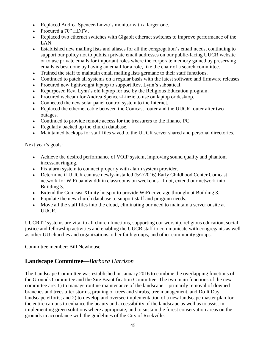- Replaced Andrea Spencer-Linzie's monitor with a larger one.
- Procured a 70" HDTV.
- Replaced two ethernet switches with Gigabit ethernet switches to improve performance of the LAN.
- Established new mailing lists and aliases for all the congregation's email needs, continuing to support our policy not to publish private email addresses on our public-facing UUCR website or to use private emails for important roles where the corporate memory gained by preserving emails is best done by having an email for a role, like the chair of a search committee.
- Trained the staff to maintain email mailing lists germane to their staff functions.
- Continued to patch all systems on a regular basis with the latest software and firmware releases.
- Procured new lightweight laptop to support Rev. Lynn's sabbatical.
- Repurposed Rev. Lynn's old laptop for use by the Religious Education program.
- Procured webcam for Andrea Spencer-Linzie to use on laptop or desktop.
- Connected the new solar panel control system to the Internet.
- Replaced the ethernet cable between the Comcast router and the UUCR router after two outages.
- Continued to provide remote access for the treasurers to the finance PC.
- Regularly backed up the church database.
- Maintained backups for staff files saved to the UUCR server shared and personal directories.

Next year's goals:

- Achieve the desired performance of VOIP system, improving sound quality and phantom incessant ringing.
- Fix alarm system to connect properly with alarm system provider.
- Determine if UUCR can use newly-installed (5/2/2016) Early Childhood Center Comcast network for WiFi bandwidth in classrooms on weekends. If not, extend our network into Building 3.
- Extend the Comcast Xfinity hotspot to provide WiFi coverage throughout Building 3.
- Populate the new church database to support staff and program needs.
- Move all the staff files into the cloud, eliminating our need to maintain a server onsite at UUCR.

UUCR IT systems are vital to all church functions, supporting our worship, religious education, social justice and fellowship activities and enabling the UUCR staff to communicate with congregants as well as other UU churches and organizations, other faith groups, and other community groups.

Committee member: Bill Newhouse

#### **Landscape Committee—***Barbara Harrison*

The Landscape Committee was established in January 2016 to combine the overlapping functions of the Grounds Committee and the Site Beautification Committee. The two main functions of the new committee are: 1) to manage routine maintenance of the landscape – primarily removal of downed branches and trees after storms, pruning of trees and shrubs, tree management, and Do It Day landscape efforts; and 2) to develop and oversee implementation of a new landscape master plan for the entire campus to enhance the beauty and accessibility of the landscape as well as to assist in implementing green solutions where appropriate, and to sustain the forest conservation areas on the grounds in accordance with the guidelines of the City of Rockville.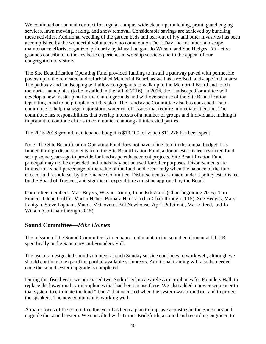We continued our annual contract for regular campus-wide clean-up, mulching, pruning and edging services, lawn mowing, raking, and snow removal. Considerable savings are achieved by bundling these activities. Additional weeding of the garden beds and tear-out of ivy and other invasives has been accomplished by the wonderful volunteers who come out on Do It Day and for other landscape maintenance efforts, organized primarily by Mary Lanigan, Jo Wilson, and Sue Hedges. Attractive grounds contribute to the aesthetic experience at worship services and to the appeal of our congregation to visitors.

The Site Beautification Operating Fund provided funding to install a pathway paved with permeable pavers up to the relocated and refurbished Memorial Board, as well as a revised landscape in that area. The pathway and landscaping will allow congregants to walk up to the Memorial Board and touch memorial nameplates (to be installed in the fall of 2016). In 2016, the Landscape Committee will develop a new master plan for the church grounds and will oversee use of the Site Beautification Operating Fund to help implement this plan. The Landscape Committee also has convened a subcommittee to help manage major storm water runoff issues that require immediate attention. The committee has responsibilities that overlap interests of a number of groups and individuals, making it important to continue efforts to communicate among all interested parties.

The 2015-2016 ground maintenance budget is \$13,100, of which \$11,276 has been spent.

Note: The Site Beautification Operating Fund does not have a line item in the annual budget. It is funded through disbursements from the Site Beautification Fund, a donor-established restricted fund set up some years ago to provide for landscape enhancement projects. Site Beautification Fund principal may not be expended and funds may not be used for other purposes. Disbursements are limited to a small percentage of the value of the fund, and occur only when the balance of the fund exceeds a threshold set by the Finance Committee. Disbursements are made under a policy established by the Board of Trustees, and significant expenditures must be approved by the Board.

Committee members: Matt Beyers, Wayne Crump, Irene Eckstrand (Chair beginning 2016), Tim Francis, Glenn Griffin, Martin Haber, Barbara Harrison (Co-Chair through 2015), Sue Hedges, Mary Lanigan, Steve Lapham, Maude McGovern, Bill Newhouse, April Pulvirenti, Marie Reed, and Jo Wilson (Co-Chair through 2015)

#### **Sound Committee**—*Mike Holmes*

The mission of the Sound Committee is to enhance and maintain the sound equipment at UUCR, specifically in the Sanctuary and Founders Hall.

The use of a designated sound volunteer at each Sunday service continues to work well, although we should continue to expand the pool of available volunteers. Additional training will also be needed once the sound system upgrade is completed.

During this fiscal year, we purchased two Audio Technica wireless microphones for Founders Hall, to replace the lower quality microphones that had been in use there. We also added a power sequencer to that system to eliminate the loud "thunk" that occurred when the system was turned on, and to protect the speakers. The new equipment is working well.

A major focus of the committee this year has been a plan to improve acoustics in the Sanctuary and upgrade the sound system. We consulted with Turner Bridgforth, a sound and recording engineer, to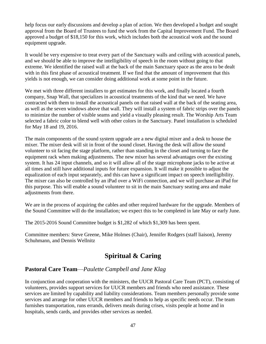help focus our early discussions and develop a plan of action. We then developed a budget and sought approval from the Board of Trustees to fund the work from the Capital Improvement Fund. The Board approved a budget of \$18,150 for this work, which includes both the acoustical work and the sound equipment upgrade.

It would be very expensive to treat every part of the Sanctuary walls and ceiling with acoustical panels, and we should be able to improve the intelligibility of speech in the room without going to that extreme. We identified the raised wall at the back of the main Sanctuary space as the area to be dealt with in this first phase of acoustical treatment. If we find that the amount of improvement that this yields is not enough, we can consider doing additional work at some point in the future.

We met with three different installers to get estimates for this work, and finally located a fourth company, Snap Wall, that specializes in acoustical treatments of the kind that we need. We have contracted with them to install the acoustical panels on that raised wall at the back of the seating area, as well as the seven windows above that wall. They will install a system of fabric strips over the panels to minimize the number of visible seams and yield a visually pleasing result. The Worship Arts Team selected a fabric color to blend well with other colors in the Sanctuary. Panel installation is scheduled for May 18 and 19, 2016.

The main components of the sound system upgrade are a new digital mixer and a desk to house the mixer. The mixer desk will sit in front of the sound closet. Having the desk will allow the sound volunteer to sit facing the stage platform, rather than standing in the closet and turning to face the equipment rack when making adjustments. The new mixer has several advantages over the existing system. It has 24 input channels, and so it will allow all of the stage microphone jacks to be active at all times and still have additional inputs for future expansion. It will make it possible to adjust the equalization of each input separately, and this can have a significant impact on speech intelligibility. The mixer can also be controlled by an iPad over a WiFi connection, and we will purchase an iPad for this purpose. This will enable a sound volunteer to sit in the main Sanctuary seating area and make adjustments from there.

We are in the process of acquiring the cables and other required hardware for the upgrade. Members of the Sound Committee will do the installation; we expect this to be completed in late May or early June.

The 2015-2016 Sound Committee budget is \$1,282 of which \$1,309 has been spent.

Committee members: Steve Greene, Mike Holmes (Chair), Jennifer Rodgers (staff liaison), Jeremy Schuhmann, and Dennis Wellnitz

# **Spiritual & Caring**

#### **Pastoral Care Team**—*Paulette Campbell and Jane Klag*

In conjunction and cooperation with the ministers, the UUCR Pastoral Care Team (PCT), consisting of volunteers, provides support services for UUCR members and friends who need assistance. These services are limited by capability and liability considerations. Team members personally provide some services and arrange for other UUCR members and friends to help as specific needs occur. The team furnishes transportation, runs errands, delivers meals during crises, visits people at home and in hospitals, sends cards, and provides other services as needed.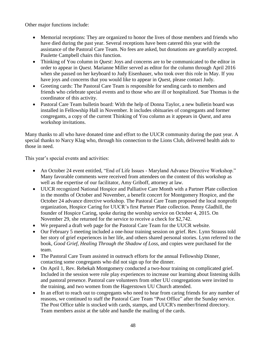Other major functions include:

- Memorial receptions: They are organized to honor the lives of those members and friends who have died during the past year. Several receptions have been catered this year with the assistance of the Pastoral Care Team. No fees are asked, but donations are gratefully accepted. Paulette Campbell chairs this function.
- Thinking of You column in *Quest*: Joys and concerns are to be communicated to the editor in order to appear in *Quest*. Marianne Miller served as editor for the column through April 2016 when she passed on her keyboard to Judy Eisenhauer, who took over this role in May. If you have joys and concerns that you would like to appear in *Quest*, please contact Judy.
- Greeting cards: The Pastoral Care Team is responsible for sending cards to members and friends who celebrate special events and to those who are ill or hospitalized. Sue Thomas is the coordinator of this activity.
- Pastoral Care Team bulletin board: With the help of Donna Taylor, a new bulletin board was installed in Fellowship Hall in November. It includes obituaries of congregants and former congregants, a copy of the current Thinking of You column as it appears in *Quest*, and area workshop invitations.

Many thanks to all who have donated time and effort to the UUCR community during the past year. A special thanks to Narcy Klag who, through his connection to the Lions Club, delivered health aids to those in need.

This year's special events and activities:

- An October 24 event entitled, "End of Life Issues Maryland Advance Directive Workshop." Many favorable comments were received from attendees on the content of this workshop as well as the expertise of our facilitator, Amy Griboff, attorney at law.
- UUCR recognized National Hospice and Palliative Care Month with a Partner Plate collection in the months of October and November, a benefit concert for Montgomery Hospice, and the October 24 advance directive workshop. The Pastoral Care Team proposed the local nonprofit organization, Hospice Caring for UUCR's first Partner Plate collection. Penny Gladhill, the founder of Hospice Caring, spoke during the worship service on October 4, 2015. On November 29, she returned for the service to receive a check for \$2,742.
- We prepared a draft web page for the Pastoral Care Team for the UUCR website.
- Our February 5 meeting included a one-hour training session on grief. Rev. Lynn Strauss told her story of grief experiences in her life, and others shared personal stories. Lynn referred to the book, *Good Grief, Healing Through the Shadow of Loss,* and copies were purchased for the team.
- The Pastoral Care Team assisted in outreach efforts for the annual Fellowship Dinner, contacting some congregants who did not sign up for the dinner.
- On April 1, Rev. Rebekah Montgomery conducted a two-hour training on complicated grief. Included in the session were role play experiences to increase our learning about listening skills and pastoral presence. Pastoral care volunteers from other UU congregations were invited to the training, and two women from the Hagerstown UU Church attended.
- In an effort to reach out to congregants who need to hear from caring friends for any number of reasons, we continued to staff the Pastoral Care Team "Post Office" after the Sunday service. The Post Office table is stocked with cards, stamps, and UUCR's member/friend directory. Team members assist at the table and handle the mailing of the cards.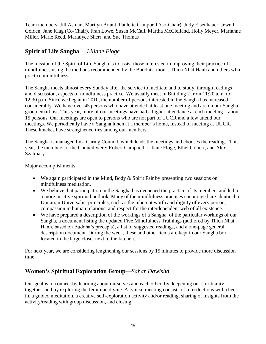Team members: Jill Asman, Marilyn Briant, Paulette Campbell (Co-Chair), Judy Eisenhauer, Jewell Golden, Jane Klag (Co-Chair), Fran Lowe, Susan McCall, Martha McClelland, Holly Meyer, Marianne Miller, Marie Reed, Marialyce Sherr, and Sue Thomas

## **Spirit of Life Sangha** —*Liliane Floge*

The mission of the Spirit of Life Sangha is to assist those interested in improving their practice of mindfulness using the methods recommended by the Buddhist monk, Thich Nhat Hanh and others who practice mindfulness.

The Sangha meets almost every Sunday after the service to meditate and to study, through readings and discussion, aspects of mindfulness practice. We usually meet in Building 2 from 11:20 a.m. to 12:30 p.m. Since we began in 2010, the number of persons interested in the Sangha has increased considerably. We have over 45 persons who have attended at least one meeting and are on our Sangha group email list. This year, more of our meetings have had a higher attendance at each meeting – about 15 persons. Our meetings are open to persons who are not part of UUCR and a few attend our meetings. We periodically have a Sangha lunch at a member's home, instead of meeting at UUCR. These lunches have strengthened ties among our members.

The Sangha is managed by a Caring Council, which leads the meetings and chooses the readings. This year, the members of the Council were: Robert Campbell, Liliane Floge, Ethel Gilbert, and Alex Szatmary.

Major accomplishments:

- We again participated in the Mind, Body & Spirit Fair by presenting two sessions on mindfulness meditation.
- We believe that participation in the Sangha has deepened the practice of its members and led to a more positive spiritual outlook. Many of the mindfulness practices encouraged are identical to Unitarian Universalist principles, such as the inherent worth and dignity of every person, compassion in human relations, and respect for the interdependent web of all existence.
- We have prepared a description of the workings of a Sangha, of the particular workings of our Sangha, a document listing the updated Five Mindfulness Trainings (authored by Thich Nhat Hanh, based on Buddha's precepts), a list of suggested readings, and a one-page general description document. During the week, these and other items are kept in our Sangha box located in the large closet next to the kitchen.

For next year, we are considering lengthening our sessions by 15 minutes to provide more discussion time.

#### **Women's Spiritual Exploration Group**—*Sahar Dawisha*

Our goal is to connect by learning about ourselves and each other, by deepening our spirituality together, and by exploring the feminine divine. A typical meeting consists of introductions with checkin, a guided meditation, a creative self-exploration activity and/or reading, sharing of insights from the activity/reading with group discussion, and closing.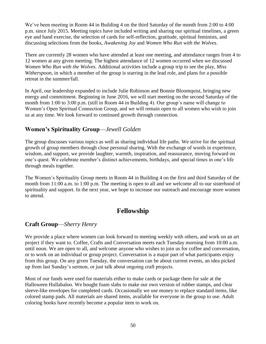We've been meeting in Room 44 in Building 4 on the third Saturday of the month from 2:00 to 4:00 p.m. since July 2015. Meeting topics have included writing and sharing our spiritual timelines, a green eye and hand exercise, the selection of cards for self-reflection, gratitude, spiritual feminists, and discussing selections from the books, *Awakening Joy* and *Women Who Run with the Wolves*.

There are currently 28 women who have attended at least one meeting, and attendance ranges from 4 to 12 women at any given meeting. The highest attendance of 12 women occurred when we discussed *Women Who Run with the Wolves.* Additional activities include a group trip to see the play, *Miss Witherspoon*, in which a member of the group is starring in the lead role, and plans for a possible retreat in the summer/fall.

In April, our leadership expanded to include Julie Robinson and Bonnie Bloomquist, bringing new energy and commitment. Beginning in June 2016, we will start meeting on the second Saturday of the month from 1:00 to 3:00 p.m. (still in Room 44 in Building 4). Our group's name will change to Women's Open Spiritual Connection Group, and we will remain open to all women who wish to join us at any time. We look forward to continued growth through connection.

#### **Women's Spirituality Group**—*Jewell Golden*

The group discusses various topics as well as sharing individual life paths. We strive for the spiritual growth of group members through close personal sharing. With the exchange of words in experience, wisdom, and support, we provide laughter, warmth, inspiration, and reassurance, moving forward on one's quest. We celebrate member's distinct achievements, birthdays, and special times in one's life through meals together.

The Women's Spirituality Group meets in Room 44 in Building 4 on the first and third Saturday of the month from 11:00 a.m. to 1:00 p.m. The meeting is open to all and we welcome all to our sisterhood of spirituality and support. In the next year, we hope to increase our outreach and encourage more women to attend.

# **Fellowship**

# **Craft Group**—*Sherry Henry*

We provide a place where women can look forward to meeting weekly with others, and work on an art project if they want to. Coffee, Crafts and Conversation meets each Tuesday morning from 10:00 a.m. until noon. We are open to all, and welcome anyone who wishes to join us for coffee and conversation, or to work on an individual or group project. Conversation is a major part of what participants enjoy from this group. On any given Tuesday, the conversation can be about current events, an idea picked up from last Sunday's sermon, or just talk about ongoing craft projects.

Most of our funds were used for materials either to make cards or package them for sale at the Halloween Hullabaloo. We bought foam slabs to make our own version of rubber stamps, and clear sleeve-like envelopes for completed cards. Occasionally we use money to replace standard items, like colored stamp pads. All materials are shared items, available for everyone in the group to use. Adult coloring books have recently become a popular item to work on.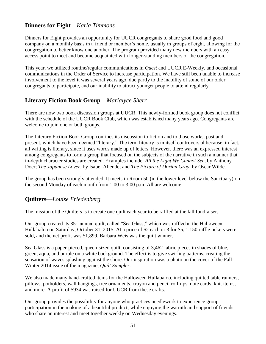#### **Dinners for Eight**—*Karla Timmons*

Dinners for Eight provides an opportunity for UUCR congregants to share good food and good company on a monthly basis in a friend or member's home, usually in groups of eight, allowing for the congregation to better know one another. The program provided many new members with an easy access point to meet and become acquainted with longer-standing members of the congregation.

This year, we utilized routine/regular communications in *Quest* and UUCR E-Weekly, and occasional communications in the Order of Service to increase participation. We have still been unable to increase involvement to the level it was several years ago, due partly to the inability of some of our older congregants to participate, and our inability to attract younger people to attend regularly.

#### **Literary Fiction Book Group**—*Marialyce Sherr*

There are now two book discussion groups at UUCR. This newly-formed book group does not conflict with the schedule of the UUCR Book Club, which was established many years ago. Congregants are welcome to join one or both groups.

The Literary Fiction Book Group confines its discussion to fiction and to those works, past and present, which have been deemed "literary." The term literary is in itself controversial because, in fact, all writing is literary, since it uses words made up of letters. However, there was an expressed interest among congregants to form a group that focused on the subjects of the narrative in such a manner that in-depth character studies are created. Examples include: *All the Light We Cannot See*, by Anthony Doer; *The Japanese Lover*, by Isabel Allende; and *The Picture of Dorian Gray*, by Oscar Wilde.

The group has been strongly attended. It meets in Room 50 (in the lower level below the Sanctuary) on the second Monday of each month from 1:00 to 3:00 p.m. All are welcome.

#### **Quilters—***Louise Friedenberg*

The mission of the Quilters is to create one quilt each year to be raffled at the fall fundraiser.

Our group created its 35<sup>th</sup> annual quilt, called "Sea Glass," which was raffled at the Halloween Hullabaloo on Saturday, October 31, 2015. At a price of \$2 each or 3 for \$5, 1,150 raffle tickets were sold, and the net profit was \$1,899. Barbara Weis was the quilt winner.

Sea Glass is a paper-pieced, queen-sized quilt, consisting of 3,462 fabric pieces in shades of blue, green, aqua, and purple on a white background. The effect is to give swirling patterns, creating the sensation of waves splashing against the shore. Our inspiration was a photo on the cover of the Fall-Winter 2014 issue of the magazine, *Quilt Sampler*.

We also made many hand-crafted items for the Halloween Hullabaloo, including quilted table runners, pillows, potholders, wall hangings, tree ornaments, crayon and pencil roll-ups, note cards, knit items, and more. A profit of \$934 was raised for UUCR from these crafts.

Our group provides the possibility for anyone who practices needlework to experience group participation in the making of a beautiful product, while enjoying the warmth and support of friends who share an interest and meet together weekly on Wednesday evenings.